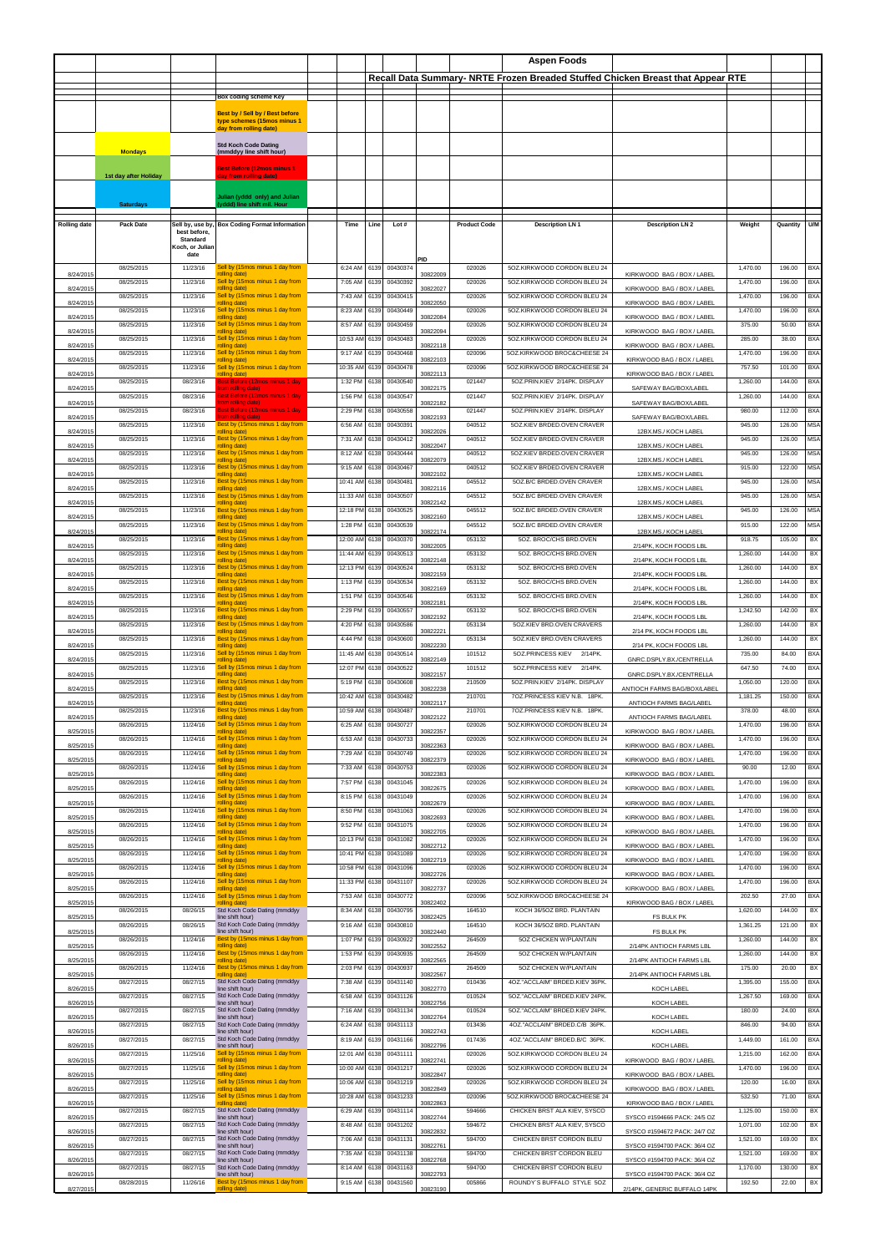|                     |                       |                          |                                                                |          |      |          |          |                     | Aspen Foods                    |                                                                                 |          |          |            |
|---------------------|-----------------------|--------------------------|----------------------------------------------------------------|----------|------|----------|----------|---------------------|--------------------------------|---------------------------------------------------------------------------------|----------|----------|------------|
|                     |                       |                          |                                                                |          |      |          |          |                     |                                | Recall Data Summary- NRTE Frozen Breaded Stuffed Chicken Breast that Appear RTE |          |          |            |
|                     |                       |                          |                                                                |          |      |          |          |                     |                                |                                                                                 |          |          |            |
|                     |                       |                          | Box coding scheme Key                                          |          |      |          |          |                     |                                |                                                                                 |          |          |            |
|                     |                       |                          | Best by / Sell by / Best before<br>type schemes (15mos minus 1 |          |      |          |          |                     |                                |                                                                                 |          |          |            |
|                     |                       |                          | day from rolling date)                                         |          |      |          |          |                     |                                |                                                                                 |          |          |            |
|                     |                       |                          | <b>Std Koch Code Dating</b>                                    |          |      |          |          |                     |                                |                                                                                 |          |          |            |
|                     | <b>Mondays</b>        |                          | (mmddyy line shift hour)                                       |          |      |          |          |                     |                                |                                                                                 |          |          |            |
|                     |                       |                          | <b>Best Before (12mos minus 1</b>                              |          |      |          |          |                     |                                |                                                                                 |          |          |            |
|                     | 1st day after Holiday |                          | <b>y</b> from rolling date)                                    |          |      |          |          |                     |                                |                                                                                 |          |          |            |
|                     |                       |                          | ulian (yddd only) and Julian                                   |          |      |          |          |                     |                                |                                                                                 |          |          |            |
|                     | <b>Saturdavs</b>      |                          | vddd) line shift mil. Hour                                     |          |      |          |          |                     |                                |                                                                                 |          |          |            |
| <b>Rolling date</b> | <b>Pack Date</b>      |                          | Sell by, use by, Box Coding Format Information                 | Time     | Line | Lot#     |          | <b>Product Code</b> | <b>Description LN 1</b>        | <b>Description LN 2</b>                                                         | Weight   | Quantity | U/M        |
|                     |                       | best before,<br>Standard |                                                                |          |      |          |          |                     |                                |                                                                                 |          |          |            |
|                     |                       | Koch, or Julian<br>date  |                                                                |          |      |          |          |                     |                                |                                                                                 |          |          |            |
|                     |                       |                          |                                                                |          |      |          | PID      |                     |                                |                                                                                 |          |          |            |
| 8/24/2015           | 08/25/2015            | 11/23/16                 | Sell by (15mos minus 1 day from<br>rolling date)               | 6:24 AM  | 6139 | 00430374 | 30822009 | 020026              | 5OZ.KIRKWOOD CORDON BLEU 24    | KIRKWOOD BAG / BOX / LABEL                                                      | 1,470.00 | 196.00   | <b>BXA</b> |
| 8/24/2015           | 08/25/2015            | 11/23/16                 | Sell by (15mos minus 1 day from<br>rolling date)               | 7:05 AM  | 6139 | 00430392 | 30822027 | 020026              | 5OZ.KIRKWOOD CORDON BLEU 24    | KIRKWOOD BAG / BOX / LABEL                                                      | 1,470.00 | 196.00   | <b>BXA</b> |
| 8/24/2015           | 08/25/2015            | 11/23/16                 | Sell by (15mos minus 1 day from<br>rolling date)               | 7:43 AM  | 6139 | 00430415 | 30822050 | 020026              | 5OZ.KIRKWOOD CORDON BLEU 24    | KIRKWOOD BAG / BOX / LABEL                                                      | 1,470.00 | 196.00   | BXA        |
| 8/24/2015           | 08/25/2015            | 11/23/16                 | Sell by (15mos minus 1 day from<br>rolling date)               | 8:23 AM  | 6139 | 00430449 | 30822084 | 020026              | 50Z.KIRKWOOD CORDON BLEU 24    | KIRKWOOD BAG / BOX / LABEL                                                      | 1,470.00 | 196.00   | <b>BXA</b> |
| 8/24/2015           | 08/25/2015            | 11/23/16                 | Sell by (15mos minus 1 day from<br>rolling date)               | 8:57 AM  | 6139 | 00430459 | 30822094 | 020026              | 5OZ.KIRKWOOD CORDON BLEU 24    | KIRKWOOD BAG / BOX / LABEL                                                      | 375.00   | 50.00    | <b>BXA</b> |
| 8/24/201            | 08/25/2015            | 11/23/16                 | Sell by (15mos minus 1 day from<br>rolling date)               | 10:53 AM | 6139 | 00430483 | 30822118 | 020026              | 5OZ.KIRKWOOD CORDON BLEU 24    | KIRKWOOD BAG / BOX / LABEL                                                      | 285.00   | 38.00    | <b>BXA</b> |
| 8/24/2015           | 08/25/2015            | 11/23/16                 | Sell by (15mos minus 1 day from<br>rolling date)               | 9:17 AM  | 6139 | 00430468 | 30822103 | 020096              | 5OZ.KIRKWOOD BROC&CHEESE 24    | KIRKWOOD BAG / BOX / LABEL                                                      | 1,470.00 | 196.00   | <b>BXA</b> |
|                     | 08/25/2015            | 11/23/16                 | Sell by (15mos minus 1 day from                                | 10:35 AM | 6139 | 00430478 |          | 020096              | 5OZ.KIRKWOOD BROC&CHEESE 24    |                                                                                 | 757.50   | 101.00   | BXA        |
| 8/24/2015           | 08/25/2015            | 08/23/16                 | rolling date)<br>est Before (12mos minus 1 day                 | 1:32 PM  | 6138 | 00430540 | 30822113 | 021447              | 5OZ.PRIN.KIEV 2/14PK. DISPLAY  | KIRKWOOD BAG / BOX / LABEL                                                      | 1,260.00 | 144.00   | <b>BXA</b> |
| 8/24/2015           | 08/25/2015            | 08/23/16                 | om rolling date)<br>Sest Before (12mos minus 1 day             | 1:56 PM  | 6138 | 00430547 | 30822175 | 021447              | 5OZ.PRIN.KIEV 2/14PK. DISPLAY  | SAFEWAY BAG/BOX/LABEL                                                           | 1,260.00 | 144.00   | <b>BXA</b> |
| 8/24/201            | 08/25/2015            | 08/23/16                 | om rolling date)<br>Best Before (12mos minus 1 day             | 2:29 PM  | 6138 | 00430558 | 30822182 | 021447              | 5OZ.PRIN.KIEV 2/14PK, DISPLAY  | SAFEWAY BAG/BOX/LABEL                                                           | 980.00   | 112.00   | <b>BXA</b> |
| 8/24/2015           | 08/25/2015            | 11/23/16                 | om rolling dat<br>Best by (15mos minus 1 day from              | 6:56 AM  | 6138 | 00430391 | 30822193 | 040512              | 5OZ.KIEV BRDED.OVEN CRAVER     | SAFEWAY BAG/BOX/LABEL                                                           | 945.00   | 126.00   | <b>MSA</b> |
| 8/24/2015           |                       |                          | rolling date)                                                  |          |      |          | 30822026 |                     | 507 KIEV BRDED OVEN CRAVER     | 12BX.MS./ KOCH LABEL                                                            |          |          |            |
| 8/24/201            | 08/25/2015            | 11/23/16                 | Best by (15mos minus 1 day from<br>rolling date)               | 7:31 AM  | 6138 | 00430412 | 30822047 | 040512              |                                | 12BX.MS./ KOCH LABEL                                                            | 945.00   | 126.00   | <b>MSA</b> |
| 8/24/2015           | 08/25/2015            | 11/23/16                 | Best by (15mos minus 1 day from<br>rolling date)               | 8:12 AM  | 6138 | 00430444 | 30822079 | 040512              | 50Z.KIEV BRDED.OVEN CRAVER     | 12BX.MS./ KOCH LABEL                                                            | 945.00   | 126.00   | <b>MSA</b> |
| 8/24/2015           | 08/25/2015            | 11/23/16                 | Best by (15mos minus 1 day from<br>rolling date)               | 9:15 AM  | 6138 | 00430467 | 30822102 | 040512              | 5OZ.KIEV BRDED.OVEN CRAVER     | 12BX.MS./ KOCH LABEL                                                            | 915.00   | 122.00   | <b>MSA</b> |
| 8/24/2015           | 08/25/2015            | 11/23/16                 | Best by (15mos minus 1 day from<br>rolling date)               | 10:41 AM | 6138 | 00430481 | 30822116 | 045512              | 5OZ.B/C BRDED.OVEN CRAVER      | 12BX.MS./ KOCH LABEL                                                            | 945.00   | 126.00   | <b>MSA</b> |
| 8/24/2015           | 08/25/2015            | 11/23/16                 | Best by (15mos minus 1 day from<br>rolling date)               | 11:33 AM | 6138 | 00430507 | 30822142 | 045512              | 50Z.B/C BRDED.OVEN CRAVER      | 12BX.MS./ KOCH LABEL                                                            | 945.00   | 126.00   | <b>MSA</b> |
| 8/24/201            | 08/25/2015            | 11/23/16                 | Best by (15mos minus 1 day from<br>rolling date)               | 12:18 PM | 6138 | 00430525 | 30822160 | 045512              | 5OZ.B/C BRDED.OVEN CRAVER      | 12BX.MS./ KOCH LABEL                                                            | 945.00   | 126.00   | <b>MSA</b> |
|                     | 08/25/2015            | 11/23/16                 | Best by (15mos minus 1 day from<br>rolling date)               | 1:28 PM  | 6138 | 00430539 |          | 045512              | 50Z.B/C BRDED.OVEN CRAVER      |                                                                                 | 915.00   | 122.00   | <b>MSA</b> |
| 8/24/2015           | 08/25/2015            | 11/23/16                 | Best by (15mos minus 1 day from                                | 12:00 AM | 6138 | 00430370 | 30822174 | 053132              | 5OZ. BROC/CHS BRD.OVEN         | 12BX.MS./ KOCH LABEL                                                            | 918.75   | 105.00   | BX         |
| 8/24/2015           | 08/25/2015            | 11/23/16                 | rolling date)<br>Best by (15mos minus 1 day from               | 11:44 AM | 6139 | 00430513 | 30822005 | 053132              | 5OZ. BROC/CHS BRD.OVEN         | 2/14PK, KOCH FOODS LBL                                                          | 1,260.00 | 144.00   | BX         |
| 8/24/2015           | 08/25/2015            | 11/23/16                 | rolling date)<br>Best by (15mos minus 1 day from               | 12:13 PM | 6139 | 00430524 | 30822148 | 053132              | 5OZ. BROC/CHS BRD.OVEN         | 2/14PK, KOCH FOODS LBL                                                          | 1,260.00 | 144.00   | BX         |
| 8/24/2015           | 08/25/2015            | 11/23/16                 | rolling date)<br>Best by (15mos minus 1 day from               | 1:13 PM  | 6139 | 00430534 | 30822159 | 053132              | 5OZ. BROC/CHS BRD.OVEN         | 2/14PK, KOCH FOODS LBL                                                          | 1,260.00 | 144.00   | BX         |
| 8/24/201            | 08/25/2015            | 11/23/16                 | rolling date)<br>Best by (15mos minus 1 day from               | 1:51 PM  | 6139 | 00430546 | 30822169 | 053132              | 5OZ. BROC/CHS BRD.OVEN         | 2/14PK, KOCH FOODS LBL                                                          | 1,260.00 | 144.00   | BX         |
| 8/24/2015           | 08/25/2015            | 11/23/16                 | rolling date)<br>Best by (15mos minus 1 day from               | 2:29 PM  | 6139 | 00430557 | 30822181 | 053132              | 5OZ. BROC/CHS BRD.OVEN         | 2/14PK, KOCH FOODS LBL                                                          | 1,242.50 | 142.00   | BX         |
| 8/24/2015           |                       |                          | rolling date)                                                  |          |      |          | 30822192 |                     |                                | 2/14PK, KOCH FOODS LBL                                                          |          |          |            |
| 8/24/2015           | 08/25/2015            | 11/23/16                 | Best by (15mos minus 1 day from<br>rolling date)               | 4:20 PM  | 6138 | 00430586 | 30822221 | 053134              | 5OZ.KIEV BRD.OVEN CRAVERS      | 2/14 PK, KOCH FOODS LBL                                                         | 1,260.00 | 144.00   | BX         |
| 8/24/2015           | 08/25/2015            | 11/23/16                 | Best by (15mos minus 1 day from<br>rolling date)               | 4:44 PM  | 6138 | 00430600 | 30822230 | 053134              | 5OZ.KIEV BRD.OVEN CRAVERS      | 2/14 PK, KOCH FOODS LBL                                                         | 1,260.00 | 144.00   | BX         |
| 8/24/201            | 08/25/2015            | 11/23/16                 | Sell by (15mos minus 1 day from<br>olling date)                | 11:45 AM | 6138 | 00430514 | 30822149 | 101512              | 5OZ.PRINCESS KIEV 2/14PK.      | GNRC.DSPLY.BX./CENTRELLA                                                        | 735.00   | 84.00    | <b>BXA</b> |
| 8/24/2015           | 08/25/2015            | 11/23/16                 | Sell by (15mos minus 1 day from<br>rolling date)               | 12:07 PM | 6138 | 00430522 | 30822157 | 101512              | 50Z.PRINCESS KIEV<br>2/14PK.   | GNRC.DSPLY.BX./CENTRELLA                                                        | 647.50   | 74.00    | <b>BXA</b> |
| 8/24/2015           | 08/25/2015            | 11/23/16                 | Best by (15mos minus 1 day from<br>rolling date)               | 5:19 PM  | 6138 | 00430608 | 30822238 | 210509              | 5OZ.PRIN.KIEV 2/14PK. DISPLAY  | ANTIOCH FARMS BAG/BOX/LABEL                                                     | 1,050.00 | 120.00   | <b>BXA</b> |
| 8/24/2015           | 08/25/2015            | 11/23/16                 | Best by (15mos minus 1 day from<br>olling date)                | 10:42 AM | 6138 | 00430482 | 30822117 | 210701              | 7OZ.PRINCESS KIEV N.B. 18PK.   | ANTIOCH FARMS BAG/LABEL                                                         | 1,181.25 | 150.00   | <b>BXA</b> |
| 8/24/2015           | 08/25/2015            | 11/23/16                 | Best by (15mos minus 1 day from<br>rolling date)               | 10:59 AM | 6138 | 00430487 | 30822122 | 210701              | 7OZ.PRINCESS KIEV N.B. 18PK.   | ANTIOCH FARMS BAG/LABEL                                                         | 378.00   | 48.00    | <b>BXA</b> |
|                     | 08/26/2015            | 11/24/16                 | Sell by (15mos minus 1 day from                                | 6:25 AM  | 6138 | 00430727 |          | 020026              | 5OZ.KIRKWOOD CORDON BLEU 24    |                                                                                 | 1,470.00 | 196.00   | BX/        |
| 8/25/2015           | 08/26/2015            | 11/24/16                 | rolling date)<br>Sell by (15mos minus 1 day from               | 6:53 AM  | 6138 | 00430733 | 30822357 | 020026              | 50Z.KIRKWOOD CORDON BLEU 24    | KIRKWOOD BAG / BOX / LABEL                                                      | 1,470.00 | 196.00   | <b>BXA</b> |
| 8/25/2015           | 08/26/2015            | 11/24/16                 | rolling date)<br>Sell by (15mos minus 1 day from               | 7:29 AM  | 6138 | 00430749 | 30822363 | 020026              | 5OZ.KIRKWOOD CORDON BLEU 24    | KIRKWOOD BAG / BOX / LABEL                                                      | 1,470.00 | 196.00   | <b>BXA</b> |
| 8/25/2015           | 08/26/2015            | 11/24/16                 | rolling date)<br>Sell by (15mos minus 1 day from               | 7:33 AM  | 6138 | 00430753 | 30822379 | 020026              | 5OZ.KIRKWOOD CORDON BLEU 24    | KIRKWOOD BAG / BOX / LABEL                                                      | 90.00    | 12.00    | <b>BXA</b> |
| 8/25/2015           | 08/26/2015            | 11/24/16                 | rolling date)<br>Sell by (15mos minus 1 day from               | 7:57 PM  | 6138 | 00431045 | 30822383 | 020026              | 50Z.KIRKWOOD CORDON BLEU 24    | KIRKWOOD BAG / BOX / LABEL                                                      | 1,470.00 | 196.00   | <b>BXA</b> |
| 8/25/2015           | 08/26/2015            | 11/24/16                 | rolling date)<br>Sell by (15mos minus 1 day from               | 8:15 PM  | 6138 | 00431049 | 30822675 | 020026              | 5OZ.KIRKWOOD CORDON BLEU 24    | KIRKWOOD BAG / BOX / LABEL                                                      | 1,470.00 | 196.00   | <b>BXA</b> |
| 8/25/2015           | 08/26/2015            | 11/24/16                 | rolling date)<br>Sell by (15mos minus 1 day from               | 8:50 PM  | 6138 | 00431063 | 30822679 | 020026              | 5OZ.KIRKWOOD CORDON BLEU 24    | KIRKWOOD BAG / BOX / LABEL                                                      | 1,470.00 | 196.00   | <b>BXA</b> |
| 8/25/2015           |                       |                          | rolling date)                                                  |          |      |          | 30822693 |                     |                                | KIRKWOOD BAG / BOX / LABEL                                                      |          |          |            |
| 8/25/2015           | 08/26/2015            | 11/24/16                 | Sell by (15mos minus 1 day from<br>rolling date)               | 9:52 PM  | 6138 | 00431075 | 30822705 | 020026              | 507 KIRKWOOD CORDON BLEU 24    | KIRKWOOD BAG / BOX / LABEL                                                      | 1,470.00 | 196.00   | <b>BXA</b> |
| 8/25/2015           | 08/26/2015            | 11/24/16                 | Sell by (15mos minus 1 day from<br>rolling date)               | 10:13 PM | 6138 | 00431082 | 30822712 | 020026              | 5OZ.KIRKWOOD CORDON BLEU 24    | KIRKWOOD BAG / BOX / LABEL                                                      | 1,470.00 | 196.00   | <b>BXA</b> |
| 8/25/2015           | 08/26/2015            | 11/24/16                 | Sell by (15mos minus 1 day from<br>rolling date)               | 10:41 PN | 6138 | 00431089 | 30822719 | 020026              | 50Z.KIRKWOOD CORDON BLEU 24    | KIRKWOOD BAG / BOX / LABEL                                                      | 1,470.00 | 196.00   | <b>BXA</b> |
| 8/25/2015           | 08/26/2015            | 11/24/16                 | Sell by (15mos minus 1 day from<br>rolling date)               | 10:58 PM | 6138 | 00431096 | 30822726 | 020026              | 5OZ.KIRKWOOD CORDON BLEU 24    | KIRKWOOD BAG / BOX / LABEL                                                      | 1,470.00 | 196.00   | <b>BXA</b> |
| 8/25/2015           | 08/26/2015            | 11/24/16                 | Sell by (15mos minus 1 day from<br>rolling date)               | 11:33 PM | 6138 | 00431107 | 30822737 | 020026              | 5OZ.KIRKWOOD CORDON BLEU 24    | KIRKWOOD BAG / BOX / LABEL                                                      | 1,470.00 | 196.00   | <b>BXA</b> |
| 8/25/2015           | 08/26/2015            | 11/24/16                 | Sell by (15mos minus 1 day from<br>rolling date)               | 7:53 AM  | 6138 | 00430772 | 30822402 | 020096              | 507 KIRKWOOD BROC&CHEESE 24    | KIRKWOOD BAG / BOX / LABEL                                                      | 202.50   | 27.00    | <b>BXA</b> |
|                     | 08/26/2015            | 08/26/15                 | Std Koch Code Dating (mmddyy<br>line shift hour)               | 8:34 AM  | 6138 | 00430795 |          | 164510              | KOCH 36/5OZ BRD. PLANTAIN      |                                                                                 | 1,620.00 | 144.00   | BX         |
| 8/25/2015           | 08/26/2015            | 08/26/15                 | Std Koch Code Dating (mmddyy                                   | 9:16 AM  | 6138 | 00430810 | 30822425 | 164510              | KOCH 36/5OZ BRD. PLANTAIN      | <b>FS BULK PK</b>                                                               | 1.361.25 | 121.00   | <b>BX</b>  |
| 8/25/2015           | 08/26/2015            | 11/24/16                 | line shift hour)<br>Best by (15mos minus 1 day from            | 1:07 PM  | 6139 | 00430922 | 30822440 | 264509              | 5OZ CHICKEN W/PLANTAIN         | FS BULK PK                                                                      | 1,260.00 | 144.00   | BX         |
| 8/25/2015           | 08/26/2015            | 11/24/16                 | rolling date)<br>Best by (15mos minus 1 day from               | 1:53 PM  | 6139 | 00430935 | 30822552 | 264509              | 5OZ CHICKEN W/PLANTAIN         | 2/14PK ANTIOCH FARMS LBL                                                        | 1,260.00 | 144.00   | BX         |
| 8/25/2015           | 08/26/2015            | 11/24/16                 | rolling date)<br>Best by (15mos minus 1 day from               | 2:03 PM  | 6139 | 00430937 | 30822565 | 264509              | 5OZ CHICKEN W/PLANTAIN         | 2/14PK ANTIOCH FARMS LBL                                                        | 175.00   | 20.00    | BX         |
| 8/25/2015           | 08/27/2015            | 08/27/15                 | rolling date)<br>Std Koch Code Dating (mmddyy                  | 7:38 AM  | 6139 | 00431140 | 30822567 | 010436              | 4OZ."ACCLAIM" BRDED.KIEV 36PK. | 2/14PK ANTIOCH FARMS LBL                                                        | 1,395.00 | 155.00   | <b>BXA</b> |
| 8/26/2015           | 08/27/2015            | 08/27/15                 | line shift hour)<br>Std Koch Code Dating (mmddyy               | 6:58 AM  | 6139 | 00431126 | 30822770 | 010524              | 5OZ."ACCLAIM" BRDED.KIEV 24PK. | KOCH LABEL                                                                      | 1,267.50 | 169.00   | <b>BXA</b> |
| 8/26/2015           |                       |                          | line shift hour)                                               |          |      |          | 30822756 |                     |                                | KOCH LABEL                                                                      |          |          |            |
| 8/26/2015           | 08/27/2015            | 08/27/15                 | Std Koch Code Dating (mmddyy<br>ine shift hour)                | 7:16 AM  | 6139 | 00431134 | 30822764 | 010524              | 5OZ."ACCLAIM" BRDED.KIEV 24PK. | KOCH LABEL                                                                      | 180.00   | 24.00    | <b>BXA</b> |
| 8/26/2015           | 08/27/2015            | 08/27/15                 | Std Koch Code Dating (mmddyy<br>line shift hour)               | 6:24 AM  | 6138 | 00431113 | 30822743 | 013436              | 4OZ."ACCLAIM" BRDED.C/B 36PK.  | KOCH LABEL                                                                      | 846.00   | 94.00    | <b>BXA</b> |
| 8/26/2015           | 08/27/2015            | 08/27/15                 | Std Koch Code Dating (mmddyy<br>line shift hour)               | 8:19 AM  | 6139 | 00431166 | 30822796 | 017436              | 4OZ."ACCLAIM" BRDED.B/C 36PK.  | KOCH LABEL                                                                      | 1,449.00 | 161.00   | <b>BXA</b> |
| 8/26/2015           | 08/27/2015            | 11/25/16                 | Sell by (15mos minus 1 day from<br>rolling date)               | 12:01 AM | 6138 | 00431111 | 30822741 | 020026              | 5OZ.KIRKWOOD CORDON BLEU 24    | KIRKWOOD BAG / BOX / LABEL                                                      | 1,215.00 | 162.00   | <b>BXA</b> |
| 8/26/2015           | 08/27/2015            | 11/25/16                 | Sell by (15mos minus 1 day from<br>rolling date)               | 10:00 AM | 6138 | 00431217 | 30822847 | 020026              | 5OZ.KIRKWOOD CORDON BLEU 24    | KIRKWOOD BAG / BOX / LABEL                                                      | 1,470.00 | 196.00   | <b>BXA</b> |
| 8/26/2015           | 08/27/2015            | 11/25/16                 | Sell by (15mos minus 1 day from<br>rolling date)               | 10:06 AM | 6138 | 00431219 | 30822849 | 020026              | 5OZ.KIRKWOOD CORDON BLEU 24    | KIRKWOOD BAG / BOX / LABEL                                                      | 120.00   | 16.00    | <b>BXA</b> |
| 8/26/2015           | 08/27/2015            | 11/25/16                 | Sell by (15mos minus 1 day from<br>rolling date)               | 10:28 AM | 6138 | 00431233 |          | 020096              | 50Z.KIRKWOOD BROC&CHEESE 24    | KIRKWOOD BAG / BOX / LABEL                                                      | 532.50   | 71.00    | <b>BXA</b> |
|                     | 08/27/2015            | 08/27/15                 | Std Koch Code Dating (mmddyy                                   | 6:29 AM  | 6139 | 00431114 | 30822863 | 594666              | CHICKEN BRST ALA KIEV, SYSCO   |                                                                                 | 1,125.00 | 150.00   | BX         |
| 8/26/2015           | 08/27/2015            | 08/27/15                 | line shift hour)<br>Std Koch Code Dating (mmddyy               | 8:48 AM  | 6138 | 00431202 | 30822744 | 594672              | CHICKEN BRST ALA KIEV, SYSCO   | SYSCO #1594666 PACK: 24/5 OZ                                                    | 1,071.00 | 102.00   | BX         |
| 8/26/2015           | 08/27/2015            | 08/27/15                 | line shift hour)<br>Std Koch Code Dating (mmddyy               | 7:06 AM  | 6138 | 00431131 | 30822832 | 594700              | CHICKEN BRST CORDON BLEU       | SYSCO #1594672 PACK: 24/7 OZ                                                    | 1,521.00 | 169.00   | BX         |
| 8/26/2015           | 08/27/2015            | 08/27/15                 | line shift hour)<br>Std Koch Code Dating (mmddyy               | 7:35 AM  | 6138 | 00431138 | 30822761 | 594700              | CHICKEN BRST CORDON BLEU       | SYSCO #1594700 PACK: 36/4 OZ                                                    | 1,521.00 | 169.00   | BX         |
| 8/26/2015           | 08/27/2015            | 08/27/15                 | ine shift hour)<br>Std Koch Code Dating (mmddyy                | 8:14 AM  | 6138 | 00431163 | 30822768 | 594700              | CHICKEN BRST CORDON BLEU       | SYSCO #1594700 PACK: 36/4 OZ                                                    | 1,170.00 | 130.00   | BX         |
| 8/26/2015           | 08/28/2015            | 11/26/16                 | line shift hour)<br>Best by (15mos minus 1 day from            | 9:15 AM  | 6138 | 00431560 | 30822793 | 005866              | ROUNDY'S BUFFALO STYLE 50Z     | SYSCO #1594700 PACK: 36/4 OZ                                                    | 192.50   | 22.00    | BX         |
| 8/27/2015           |                       |                          | rolling date)                                                  |          |      |          | 30823190 |                     |                                | 2/14PK, GENERIC BUFFALO 14PK                                                    |          |          |            |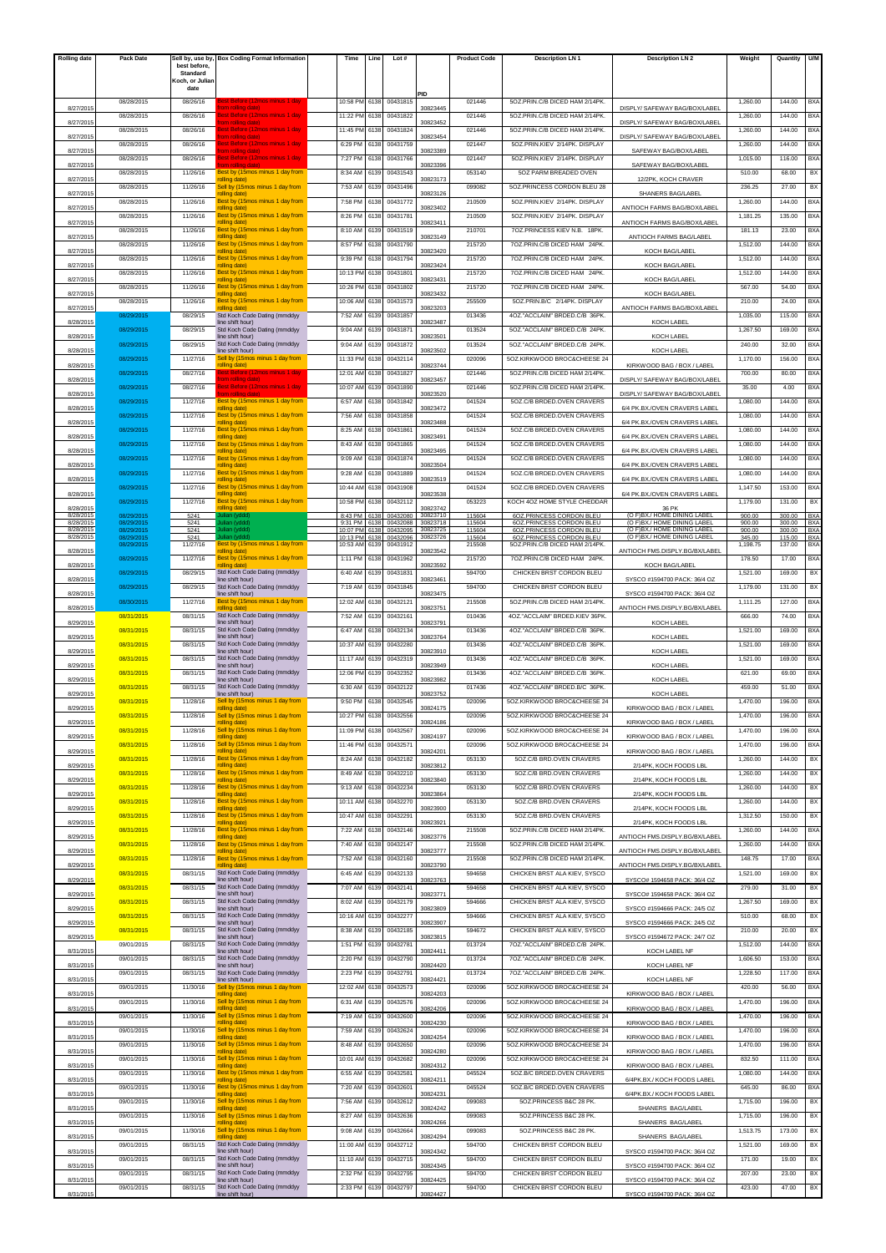| <b>Rolling date</b>    | Pack Date                | Sell by, use by,         | <b>Box Coding Format Information</b>                    | Time                 | Line         | Lot #                |                      | <b>Product Code</b> | <b>Description LN1</b>                               | <b>Description LN 2</b>                                    | Weight           | Quantity         | <b>U/N</b>        |
|------------------------|--------------------------|--------------------------|---------------------------------------------------------|----------------------|--------------|----------------------|----------------------|---------------------|------------------------------------------------------|------------------------------------------------------------|------------------|------------------|-------------------|
|                        |                          | best before,<br>Standard |                                                         |                      |              |                      |                      |                     |                                                      |                                                            |                  |                  |                   |
|                        |                          | Koch, or Juliar<br>date  |                                                         |                      |              |                      |                      |                     |                                                      |                                                            |                  |                  |                   |
|                        | 08/28/2015               | 08/26/16                 |                                                         | 10:58 PM             | 6138         | 00431815             | PID                  | 021446              | 5OZ.PRIN.C/B DICED HAM 2/14PK.                       |                                                            | 1,260.00         | 144.00           | BX/               |
| 8/27/201               |                          |                          | om rolling date)                                        |                      |              |                      | 30823445             |                     |                                                      | DISPLY/ SAFEWAY BAG/BOX/LABEI                              |                  |                  |                   |
| 8/27/201               | 08/28/2015               | 08/26/16                 | est Before (12mos minus 1 day<br>om rolling date)       | 11:22 PM             | 6138         | 00431822             | 30823452             | 021446              | 5OZ.PRIN.C/B DICED HAM 2/14PK.                       | DISPLY/ SAFEWAY BAG/BOX/LABEL                              | 1,260.00         | 144.00           | BXA               |
| 8/27/201               | 08/28/2015               | 08/26/16                 | est Before (12mos minus 1 da<br>om rolling date         | 11:45 PM             | 6138         | 00431824             | 30823454             | 021446              | 5OZ.PRIN.C/B DICED HAM 2/14PK.                       | DISPLY/ SAFEWAY BAG/BOX/LABEL                              | 1,260.00         | 144.00           | BXA               |
| 8/27/201               | 08/28/2015               | 08/26/16                 | est Before (12mos minus 1 da<br>om rolling date)        | 6:29 PM              | 6138         | 00431759             | 30823389             | 021447              | 5OZ.PRIN.KIEV 2/14PK. DISPLAY                        | SAFEWAY BAG/BOX/LABEL                                      | 1.260.00         | 144.00           | BXA               |
|                        | 08/28/2015               | 08/26/16                 | est Before (12mos minus 1 day<br>om rolling date        | 7:27 PM              | 6138         | 00431766             | 30823396             | 021447              | 5OZ.PRIN.KIEV 2/14PK. DISPLAY                        | SAFEWAY BAG/BOX/LABEL                                      | 1,015.00         | 116.00           | BX/               |
| 8/27/2015              | 08/28/2015               | 11/26/16                 | Best by (15mos minus 1 day from                         | 8:34 AM              | 6139         | 00431543             |                      | 053140              | 5OZ PARM BREADED OVEN                                |                                                            | 510.00           | 68.00            | BX                |
| 8/27/201               | 08/28/2015               | 11/26/16                 | rolling date)<br>Sell by (15mos minus 1 day from        | 7:53 AM              | 6139         | 00431496             | 30823173             | 099082              | 5OZ.PRINCESS CORDON BLEU 28                          | 12/2PK, KOCH CRAVER                                        | 236.25           | 27.00            | BX                |
| 8/27/2015              | 08/28/2015               | 11/26/16                 | rolling date)<br>Best by (15mos minus 1 day from        | 7:58 PM              | 6138         | 00431772             | 30823126             | 210509              | 5OZ.PRIN.KIEV 2/14PK. DISPLAY                        | SHANERS BAG/LABEL                                          | 1,260.00         | 144.00           | <b>BXA</b>        |
| 8/27/201               |                          |                          | rolling date)                                           |                      |              |                      | 30823402             |                     |                                                      | ANTIOCH FARMS BAG/BOX/LABEL                                |                  |                  |                   |
| 8/27/201               | 08/28/2015               | 11/26/16                 | Best by (15mos minus 1 day from<br>rolling date)        | 8:26 PM              | 6138         | 00431781             | 30823411             | 210509              | 5OZ.PRIN.KIEV 2/14PK. DISPLAY                        | ANTIOCH FARMS BAG/BOX/LABEI                                | 1.181.25         | 135.00           | <b>BXA</b>        |
| 8/27/2015              | 08/28/2015               | 11/26/16                 | Best by (15mos minus 1 day from<br>rolling date)        | 8:10 AM              | 6139         | 00431519             | 30823149             | 210701              | 707 PRINCESS KIFV N.B. 18PK                          | ANTIOCH FARMS BAG/LABEL                                    | 181.13           | 23.00            | BX/               |
| 8/27/2015              | 08/28/2015               | 11/26/16                 | Best by (15mos minus 1 day from<br>rolling date)        | 8:57 PM              | 6138         | 00431790             | 30823420             | 215720              | 7OZ.PRIN.C/B DICED HAM 24PK.                         | KOCH BAG/LABEL                                             | 1,512.00         | 144.00           | <b>BXA</b>        |
|                        | 08/28/2015               | 11/26/16                 | Best by (15mos minus 1 day from                         | 9:39 PM              | 6138         | 00431794             |                      | 215720              | 707 PRIN C/B DICED HAM 24PK                          |                                                            | 1,512.00         | 144.00           | <b>BXA</b>        |
| 8/27/2015              | 08/28/2015               | 11/26/16                 | rolling date)<br>Best by (15mos minus 1 day from        | 10:13 PM             | 6138         | 00431801             | 30823424             | 215720              | 7OZ.PRIN.C/B DICED HAM 24PK.                         | KOCH BAG/LABEL                                             | 1,512.00         | 144.00           | BXA               |
| 8/27/201               | 08/28/2015               | 11/26/16                 | rolling date)<br>Best by (15mos minus 1 day from        | 10:26 PM             | 6138         | 00431802             | 30823431             | 215720              | 7OZ.PRIN.C/B DICED HAM 24PK.                         | KOCH BAG/LABEL                                             | 567.00           | 54.00            | BXA               |
| 8/27/201               | 08/28/2015               | 11/26/16                 | rolling date)<br>Best by (15mos minus 1 day from        | 10:06 AM             | 6138         | 00431573             | 30823432             | 255509              | 5OZ.PRIN.B/C 2/14PK, DISPLAY                         | KOCH BAG/LABEL                                             | 210.00           | 24.00            | BX/               |
| 8/27/2015              |                          | 08/29/15                 | olling date<br>Std Koch Code Dating (mmddyy             |                      |              |                      | 30823203             | 013436              |                                                      | ANTIOCH FARMS BAG/BOX/LABEL                                |                  |                  |                   |
| 8/28/2015              | 08/29/2015               |                          | line shift hour)                                        | 7:52 AM              | 6139         | 00431857             | 30823487             |                     | 4OZ."ACCLAIM" BRDED.C/B 36PK.                        | KOCH LABEL                                                 | 1,035.00         | 115.00           | BXA               |
| 8/28/2015              | 08/29/2015               | 08/29/15                 | Std Koch Code Dating (mmddyy<br>line shift hour)        | 9:04 AM              | 6139         | 00431871             | 30823501             | 013524              | 5OZ."ACCLAIM" BRDED.C/B 24PK.                        | KOCH LABEL                                                 | 1,267.50         | 169.00           | <b>BXA</b>        |
| 8/28/2015              | 08/29/2015               | 08/29/15                 | Std Koch Code Dating (mmddyy<br>line shift hour)        | 9:04 AM              | 6139         | 00431872             | 30823502             | 013524              | 5OZ."ACCLAIM" BRDED.C/B 24PK.                        | KOCH LABEL                                                 | 240.00           | 32.00            | BXA               |
| 8/28/2015              | 08/29/2015               | 11/27/16                 | Sell by (15mos minus 1 day from<br>'olling date)        | 11:33 PM             | 6138         | 00432114             | 30823744             | 020096              | 50Z.KIRKWOOD BROC&CHEESE 24                          | KIRKWOOD BAG / BOX / LABEL                                 | 1,170.00         | 156.00           | BXA               |
|                        | 08/29/2015               | 08/27/16                 | Sest Before (12mos minus 1 day                          | 12:01 AM             | 6138         | 00431827             |                      | 021446              | 507 PRIN C/B DICED HAM 2/14PK                        |                                                            | 700.00           | 80.00            | BX/               |
| 8/28/2015              | 08/29/2015               | 08/27/16                 | com rolling date)<br>Best Before (12mos minus 1 day     | 10:07 AM             | 6139         | 00431890             | 30823457             | 021446              | 5OZ.PRIN.C/B DICED HAM 2/14PK.                       | DISPLY/ SAFEWAY BAG/BOX/LABEL                              | 35.00            | 4.00             | BXA               |
| 8/28/2015              | 08/29/2015               | 11/27/16                 | om rolling dat<br>Best by (15mos minus 1 day from       | 6:57 AM              | 6138         | 00431842             | 30823520             | 041524              | 5OZ.C/B BRDED.OVEN CRAVERS                           | DISPLY/ SAFEWAY BAG/BOX/LABEL                              | 1,080.00         | 144.00           | <b>BXA</b>        |
| 8/28/2015              |                          |                          | rolling date)<br>Best by (15mos minus 1 day from        |                      |              |                      | 30823472             |                     | 5OZ.C/B BRDED.OVEN CRAVERS                           | 6/4 PK.BX./OVEN CRAVERS LABEL                              |                  |                  |                   |
| 8/28/2015              | 08/29/2015               | 11/27/16                 | rolling date)                                           | 7:56 AM              | 6138         | 00431858             | 30823488             | 041524              |                                                      | 6/4 PK.BX./OVEN CRAVERS LABEL                              | 1,080.00         | 144.00           | BXA               |
| 8/28/2015              | 08/29/2015               | 11/27/16                 | Best by (15mos minus 1 day from<br>rolling date)        | 8:25 AM              | 6138         | 00431861             | 30823491             | 041524              | 5OZ.C/B BRDED.OVEN CRAVERS                           | 6/4 PK.BX./OVEN CRAVERS LABEL                              | 1,080.00         | 144.00           | <b>BXA</b>        |
| 8/28/2015              | 08/29/2015               | 11/27/16                 | Best by (15mos minus 1 day from<br>rolling date)        | 8:43 AM              | 6138         | 00431865             | 30823495             | 041524              | 5OZ.C/B BRDED.OVEN CRAVERS                           | 6/4 PK.BX./OVEN CRAVERS LABEL                              | 1,080.00         | 144.00           | BX/               |
| 8/28/2015              | 08/29/2015               | 11/27/16                 | Best by (15mos minus 1 day from<br>rolling date)        | 9:09 AM              | 6138         | 00431874             | 30823504             | 041524              | 5OZ.C/B BRDED.OVEN CRAVERS                           | 6/4 PK.BX./OVEN CRAVERS LABEL                              | 1,080.00         | 144.00           | BXA               |
|                        | 08/29/2015               | 11/27/16                 | Best by (15mos minus 1 day from                         | 9:28 AM              | 6138         | 00431889             |                      | 041524              | 5OZ.C/B BRDED.OVEN CRAVERS                           |                                                            | 1,080.00         | 144.00           | <b>BXA</b>        |
| 8/28/2015              | 08/29/2015               | 11/27/16                 | rolling date)<br>Best by (15mos minus 1 day from        | 10:44 AM             | 6138         | 00431908             | 30823519             | 041524              | 5OZ.C/B BRDED.OVEN CRAVERS                           | 6/4 PK.BX./OVEN CRAVERS LABEL                              | 1,147.50         | 153.00           | BXA               |
| 8/28/2015              | 08/29/2015               | 11/27/16                 | rolling date)<br>Best by (15mos minus 1 day from        | 10:58 PM             | 6138         | 00432112             | 30823538             | 053223              | KOCH 4OZ HOME STYLE CHEDDAR                          | 6/4 PK.BX./OVEN CRAVERS LABEL                              | 1.179.00         | 131.00           | BX                |
| 8/28/2015<br>8/28/2015 | 08/29/2015               | 5241                     | olling date<br>lian (yddo                               | 8:43 PM              | 6138         | 00432080             | 30823742<br>30823710 | 115604              | 6OZ.PRINCESS CORDON BLEU                             | 36 PK<br>(O F)BX./ HOME DINING LABEI                       | 900.00           | 300.00           | BX/               |
| 8/28/2015              | 08/29/2015               | 5241                     | ulian (yddd)                                            | 9:31 PM              | 6138         | 00432088             | 30823718             | 115604              | 60Z.PRINCESS CORDON BLEU                             | (O F)BX./ HOME DINING LABEL                                | 900.00           | 300.00           | BXA               |
| 8/28/2015<br>8/28/2015 | 08/29/2015<br>08/29/2015 | 5241<br>5241             | ulian (yddd<br>ian (yddo                                | 10:07 PM<br>10:13 PM | 6138<br>6138 | 00432095<br>00432096 | 30823725<br>30823726 | 115604<br>115604    | 60Z.PRINCESS CORDON BLEU<br>6OZ.PRINCESS CORDON BLEU | (O F)BX./ HOME DINING LABEL<br>(O F)BX./ HOME DINING LABEL | 900.00<br>345.00 | 300.00<br>115,00 | <b>BXA</b><br>BX/ |
| 8/28/2015              | 08/29/2015               | 11/27/16                 | Best by (15mos minus 1 day from<br>rolling date)        | 10:53 AM             | 6139         | 00431912             | 30823542             | 215508              | 5OZ.PRIN.C/B DICED HAM 2/14PK                        | ANTIOCH FMS.DISPLY.BG/BX/LABEL                             | 1,198.75         | 137.00           | BXA               |
| 8/28/2015              | 08/29/2015               | 11/27/16                 | Best by (15mos minus 1 day from<br>olling date          | 1:11 PM              | 6138         | 00431962             | 30823592             | 215720              | 7OZ.PRIN.C/B DICED HAM 24PK.                         | KOCH BAG/LABEL                                             | 178.50           | 17.00            | <b>BXA</b>        |
|                        | 08/29/2015               | 08/29/15                 | Std Koch Code Dating (mmddyy<br>line shift hour)        | 6:40 AM              | 6139         | 00431831             |                      | 594700              | CHICKEN BRST CORDON BLEU                             |                                                            | 1,521.00         | 169.00           | BX                |
| 8/28/2015              | 08/29/2015               | 08/29/15                 | Std Koch Code Dating (mmddyy                            | 7:19 AM              | 6139         | 00431845             | 30823461             | 594700              | CHICKEN BRST CORDON BLEU                             | SYSCO #1594700 PACK: 36/4 OZ                               | 1,179.00         | 131.00           | BX                |
| 8/28/2015              | 08/30/2015               | 11/27/16                 | line shift hour)<br>Best by (15mos minus 1 day from     | 12:02 AM             | 6138         | 00432121             | 30823475             | 215508              | 5OZ.PRIN.C/B DICED HAM 2/14PK.                       | SYSCO #1594700 PACK: 36/4 OZ                               | 1,111.25         | 127.00           | BXA               |
| 8/28/2015              | 08/31/2015               | 08/31/15                 | Std Koch Code Dating (mmddyy                            | 7:52 AM              | 6139         | 00432161             | 30823751             | 010436              | 4OZ."ACCLAIM" BRDED.KIEV 36PK.                       | ANTIOCH FMS.DISPLY.BG/BX/LABEL                             | 666.00           | 74.00            | BXA               |
| 8/29/2015              |                          |                          | line shift hour)<br>Std Koch Code Dating (mmddyy        |                      |              |                      | 30823791             |                     |                                                      | <b>KOCH LABEL</b>                                          |                  |                  |                   |
| 8/29/2015              | 08/31/2015               | 08/31/15                 | line shift hour)                                        | 6:47 AM              | 6138         | 00432134             | 30823764             | 013436              | 4OZ."ACCLAIM" BRDED.C/B 36PK.                        | KOCH LABEL                                                 | 1,521.00         | 169.00           | BXA               |
| 8/29/2015              | 08/31/2015               | 08/31/15                 | Std Koch Code Dating (mmddyy<br>line shift hour)        | 10:37 AM             | 6139         | 00432280             | 30823910             | 013436              | 4OZ."ACCLAIM" BRDED.C/B 36PK.                        | KOCH LABEI                                                 | 1,521.00         | 169.00           | <b>BXA</b>        |
| 8/29/2015              | 08/31/2015               | 08/31/15                 | Std Koch Code Dating (mmddyy<br>line shift hour)        | 11:17 AM             | 6139         | 00432319             | 30823949             | 013436              | 4OZ."ACCLAIM" BRDED.C/B 36PK.                        | KOCH LABEI                                                 | 1,521.00         | 169.00           | BXA               |
|                        | 08/31/2015               | 08/31/15                 | Std Koch Code Dating (mmddyy                            | 12:06 PM             | 6139         | 00432352             |                      | 013436              | 4OZ."ACCLAIM" BRDED.C/B 36PK.                        |                                                            | 621.00           | 69.00            | BXA               |
| 8/29/2015              | 08/31/2015               | 08/31/15                 | line shift hour)<br>Std Koch Code Dating (mmddyy        | 6:30 AM              | 6139         | 00432122             | 30823982             | 017436              | 4OZ."ACCLAIM" BRDED.B/C 36PK.                        | KOCH LABEL                                                 | 459.00           | 51.00            | <b>BXA</b>        |
| 8/29/2015              | 08/31/2015               | 11/28/16                 | line shift hour)<br>Sell by (15mos minus 1 day from     | 9:50 PM              | 6138         | 00432545             | 30823752             | 020096              | 5OZ.KIRKWOOD BROC&CHEESE 24                          | KOCH LABEI                                                 | 1,470.00         | 196.00           | BXA               |
| 8/29/2015              | 08/31/2015               | 11/28/16                 | rolling date)<br>Sell by (15mos minus 1 day from        | 10:27 PM             | 6138         | 00432556             | 30824175             | 020096              | 50Z.KIRKWOOD BROC&CHEESE 24                          | KIRKWOOD BAG / BOX / LABEL                                 | 1,470.00         | 196.00           | <b>BXA</b>        |
| 8/29/2015              |                          |                          | <b>Inteh</b> natilos<br>Sell by (15mos minus 1 day from |                      |              |                      | 30824186             |                     |                                                      | KIRKWOOD BAG / BOX / LABEL                                 |                  |                  |                   |
| 8/29/2015              | 08/31/2015               | 11/28/16                 | rolling date)                                           | 11:09 PM             | 6138         | 00432567             | 30824197             | 020096              | 5OZ.KIRKWOOD BROC&CHEESE 24                          | KIRKWOOD BAG / BOX / LABEL                                 | 1,470.00         | 196.00           | BXA               |
| 8/29/2015              | 08/31/2015               | 11/28/16                 | Sell by (15mos minus 1 day from<br>rolling date)        | 11:46 PM             | 6138         | 0043257              | 30824201             | 020096              | 50Z.KIRKWOOD BROC&CHEESE 24                          | KIRKWOOD BAG / BOX / LABEL                                 | 1,470.00         | 196.00           | <b>BXA</b>        |
| 8/29/2015              | 08/31/2015               | 11/28/16                 | Best by (15mos minus 1 day from<br>rolling date)        | 8:24 AM              | 6138         | 00432182             | 30823812             | 053130              | 507 C/B BRD OVEN CRAVERS                             | 2/14PK, KOCH FOODS LBL                                     | 1,260.00         | 144.00           | BX                |
|                        | 08/31/2015               | 11/28/16                 | Best by (15mos minus 1 day from                         | 8:49 AM              | 6138         | 00432210             |                      | 053130              | 50Z.C/B BRD.OVEN CRAVERS                             |                                                            | 1,260.00         | 144.00           | BX                |
| 8/29/2015              | 08/31/2015               | 11/28/16                 | rolling date)<br>Best by (15mos minus 1 day from        | 9:13 AM              | 6138         | 00432234             | 30823840             | 053130              | 50Z.C/B BRD.OVEN CRAVERS                             | 2/14PK, KOCH FOODS LBL                                     | 1,260.00         | 144.00           | BX                |
| 8/29/2015              | 08/31/2015               | 11/28/16                 | rolling date)<br>Best by (15mos minus 1 day from        | 10:11 AM             | 6138         | 00432270             | 30823864             | 053130              | 5OZ.C/B BRD.OVEN CRAVERS                             | 2/14PK, KOCH FOODS LBL                                     | 1,260.00         | 144.00           | BX                |
| 8/29/2015              | 08/31/2015               | 11/28/16                 | rolling date)<br>Best by (15mos minus 1 day from        | 10:47 AM             | 6138         | 00432291             | 30823900             | 053130              | 5OZ.C/B BRD.OVEN CRAVERS                             | 2/14PK, KOCH FOODS LBL                                     | 1,312.50         | 150.00           | BX                |
| 8/29/2015              |                          |                          | rolling date)                                           |                      |              |                      | 30823921             |                     |                                                      | 2/14PK, KOCH FOODS LBL                                     |                  |                  |                   |
| 8/29/2015              | 08/31/2015               | 11/28/16                 | Best by (15mos minus 1 day from<br>rolling date)        | 7:22 AM              | 6138         | 00432146             | 30823776             | 215508              | 507 PRIN C/B DICED HAM 2/14PK                        | ANTIOCH FMS.DISPLY.BG/BX/LABEL                             | 1,260.00         | 144.00           | <b>BXA</b>        |
| 8/29/2015              | 08/31/2015               | 11/28/16                 | Best by (15mos minus 1 day from<br>rolling date)        | 7:40 AM              | 6138         | 00432147             | 30823777             | 215508              | 5OZ.PRIN.C/B DICED HAM 2/14PK.                       | ANTIOCH FMS.DISPLY.BG/BX/LABEL                             | 1,260.00         | 144.00           | <b>BXA</b>        |
| 8/29/2015              | 08/31/2015               | 11/28/16                 | Best by (15mos minus 1 day from<br>'olling date         | 7:52 AM              | 6138         | 00432160             | 30823790             | 215508              | 5OZ.PRIN.C/B DICED HAM 2/14PK.                       | ANTIOCH FMS.DISPLY.BG/BX/LABEL                             | 148.75           | 17.00            | <b>BXA</b>        |
|                        | 08/31/2015               | 08/31/15                 | Std Koch Code Dating (mmddyy                            | 6:45 AM              | 6139         | 00432133             |                      | 594658              | CHICKEN BRST ALA KIEV, SYSCO                         | SYSCO# 1594658 PACK: 36/4 OZ                               | 1,521.00         | 169.00           | BX                |
| 8/29/2015              | 08/31/2015               | 08/31/15                 | line shift hour)<br>Std Koch Code Dating (mmddyy        | 7:07 AM              | 6139         | 00432141             | 30823763             | 594658              | CHICKEN BRST ALA KIEV, SYSCO                         |                                                            | 279.00           | 31.00            | BX                |
| 8/29/2015              | 08/31/2015               | 08/31/15                 | line shift hour)<br>Std Koch Code Dating (mmddyy        | 8:02 AM              | 6139         | 00432179             | 30823771             | 594666              | CHICKEN BRST ALA KIEV, SYSCO                         | SYSCO# 1594658 PACK: 36/4 OZ                               | 1,267.50         | 169.00           | BX                |
| 8/29/2015              | 08/31/2015               | 08/31/15                 | line shift hour)<br>Std Koch Code Dating (mmddyy        | 10:16 AM             | 6139         | 00432277             | 30823809             | 594666              | CHICKEN BRST ALA KIEV, SYSCO                         | SYSCO #1594666 PACK: 24/5 OZ                               | 510.00           | 68.00            | BX                |
| 8/29/2015              |                          |                          | line shift hour)                                        |                      |              |                      | 30823907             |                     |                                                      | SYSCO #1594666 PACK: 24/5 OZ                               |                  |                  |                   |
| 8/29/2015              | 08/31/2015               | 08/31/15                 | Std Koch Code Dating (mmddyy<br>line shift hour)        | 8:38 AM              | 6139         | 00432185             | 30823815             | 594672              | CHICKEN BRST ALA KIEV, SYSCO                         | SYSCO #1594672 PACK: 24/7 OZ                               | 210.00           | 20.00            | BX                |
| 8/31/2015              | 09/01/2015               | 08/31/15                 | Std Koch Code Dating (mmddyy<br>line shift hour)        | 1:51 PM              | 6139         | 00432781             | 30824411             | 013724              | 7OZ."ACCLAIM" BRDED.C/B 24PK.                        | KOCH LABEL NF                                              | 1,512.00         | 144.00           | BXA               |
| 8/31/2015              | 09/01/2015               | 08/31/15                 | Std Koch Code Dating (mmddyy<br>line shift hour)        | 2:20 PM              | 6139         | 00432790             | 30824420             | 013724              | 7OZ."ACCLAIM" BRDED.C/B 24PK.                        | KOCH LABEL NF                                              | 1,606.50         | 153.00           | <b>BXA</b>        |
| 8/31/2015              | 09/01/2015               | 08/31/15                 | Std Koch Code Dating (mmddyy<br>line shift hour)        | 2:23 PM              | 6139         | 00432791             | 30824421             | 013724              | 7OZ."ACCLAIM" BRDED.C/B 24PK.                        | KOCH LABEL NF                                              | 1,228.50         | 117.00           | <b>BXA</b>        |
|                        | 09/01/2015               | 11/30/16                 | Sell by (15mos minus 1 day from                         | 12:02 AM             | 6138         | 00432573             |                      | 020096              | 5OZ.KIRKWOOD BROC&CHEESE 24                          |                                                            | 420.00           | 56.00            | <b>BXA</b>        |
| 8/31/2015              | 09/01/2015               | 11/30/16                 | rolling date)<br>Sell by (15mos minus 1 day from        | 6:31 AM              | 6139         | 00432576             | 30824203             | 020096              | 5OZ.KIRKWOOD BROC&CHEESE 24                          | KIRKWOOD BAG / BOX / LABEL                                 | 1,470.00         | 196.00           | <b>BXA</b>        |
| 8/31/2015              | 09/01/2015               | 11/30/16                 | rolling date)<br>Sell by (15mos minus 1 day from        | 7:19 AM              | 6139         | 00432600             | 30824206             | 020096              | 5OZ.KIRKWOOD BROC&CHEESE 24                          | KIRKWOOD BAG / BOX / LABEL                                 | 1,470.00         | 196.00           | <b>BXA</b>        |
| 8/31/2015              |                          | 11/30/16                 | rolling date)<br>Sell by (15mos minus 1 day from        |                      |              |                      | 30824230             |                     |                                                      | KIRKWOOD BAG / BOX / LABEL                                 |                  |                  |                   |
| 8/31/2015              | 09/01/2015               |                          | rolling date)                                           | 7:59 AM              | 6139         | 00432624             | 30824254             | 020096              | 5OZ.KIRKWOOD BROC&CHEESE 24                          | KIRKWOOD BAG / BOX / LABEL                                 | 1,470.00         | 196.00           | <b>BXA</b>        |
| 8/31/2015              | 09/01/2015               | 11/30/16                 | Sell by (15mos minus 1 day from<br>rolling date)        | 8:48 AM              | 6139         | 00432650             | 30824280             | 020096              | 5OZ.KIRKWOOD BROC&CHEESE 24                          | KIRKWOOD BAG / BOX / LABEL                                 | 1,470.00         | 196.00           | <b>BXA</b>        |
| 8/31/2015              | 09/01/2015               | 11/30/16                 | Sell by (15mos minus 1 day from<br>rolling date)        | 10:01 AM             | 6139         | 00432682             | 30824312             | 020096              | 5OZ.KIRKWOOD BROC&CHEESE 24                          | KIRKWOOD BAG / BOX / LABEL                                 | 832.50           | 111.00           | <b>BXA</b>        |
|                        | 09/01/2015               | 11/30/16                 | Best by (15mos minus 1 day from                         | 6:55 AM              | 6139         | 00432581             |                      | 045524              | 5OZ.B/C BRDED.OVEN CRAVERS                           |                                                            | 1,080.00         | 144.00           | <b>BXA</b>        |
| 8/31/2015              | 09/01/2015               | 11/30/16                 | rolling date)<br>Best by (15mos minus 1 day from        | 7:20 AM              | 6139         | 00432601             | 30824211             | 045524              | 5OZ.B/C BRDED.OVEN CRAVERS                           | 6/4PK.BX./ KOCH FOODS LABEL                                | 645.00           | 86.00            | <b>BXA</b>        |
| 8/31/2015              | 09/01/2015               | 11/30/16                 | rolling date)<br>Sell by (15mos minus 1 day from        | 7:56 AM              | 6139         | 00432612             | 30824231             | 099083              | 5OZ.PRINCESS B&C 28 PK.                              | 6/4PK.BX./ KOCH FOODS LABEL                                | 1,715.00         | 196.00           | BX                |
| 8/31/2015              | 09/01/2015               | 11/30/16                 | rolling date)<br>Sell by (15mos minus 1 day from        | 8:27 AM              | 6139         | 00432636             | 30824242             | 099083              | 5OZ.PRINCESS B&C 28 PK.                              | SHANERS BAG/LABEL                                          | 1,715.00         | 196.00           | BX                |
| 8/31/2015              |                          |                          | rolling date)                                           |                      |              |                      | 30824266             |                     |                                                      | SHANERS BAG/LABEL                                          |                  |                  |                   |
| 8/31/2015              | 09/01/2015               | 11/30/16                 | Sell by (15mos minus 1 day from<br>rolling date)        | 9:08 AM              | 6139         | 00432664             | 30824294             | 099083              | 5OZ.PRINCESS B&C 28 PK.                              | SHANERS BAG/LABEL                                          | 1,513.75         | 173.00           | BX                |
| 8/31/2015              | 09/01/2015               | 08/31/15                 | Std Koch Code Dating (mmddyy<br>line shift hour)        | 11:00 AM             | 6139         | 00432712             | 30824342             | 594700              | CHICKEN BRST CORDON BLEU                             | SYSCO #1594700 PACK: 36/4 OZ                               | 1,521.00         | 169.00           | BX                |
|                        | 09/01/2015               | 08/31/15                 | Std Koch Code Dating (mmddyy<br>line shift hour)        | 11:10 AM             | 6139         | 00432715             |                      | 594700              | CHICKEN BRST CORDON BLEU                             |                                                            | 171.00           | 19.00            | BX                |
| 8/31/201               | 09/01/2015               | 08/31/15                 | Std Koch Code Dating (mmddyy                            | 2:32 PM              | 6139         | 00432795             | 30824345             | 594700              | CHICKEN BRST CORDON BLEU                             | SYSCO #1594700 PACK: 36/4 OZ                               | 207.00           | 23.00            | BX                |
| 8/31/201               | 09/01/2015               | 08/31/15                 | line shift hour)<br>Std Koch Code Dating (mmddyy        | 2:33 PM              | 6139         | 00432797             | 30824425             | 594700              | CHICKEN BRST CORDON BLEU                             | SYSCO #1594700 PACK: 36/4 OZ                               | 423.00           | 47.00            | BX                |
| 8/31/2015              |                          |                          | ine shift hour)                                         |                      |              |                      | 30824427             |                     |                                                      | SYSCO #1594700 PACK: 36/4 OZ                               |                  |                  |                   |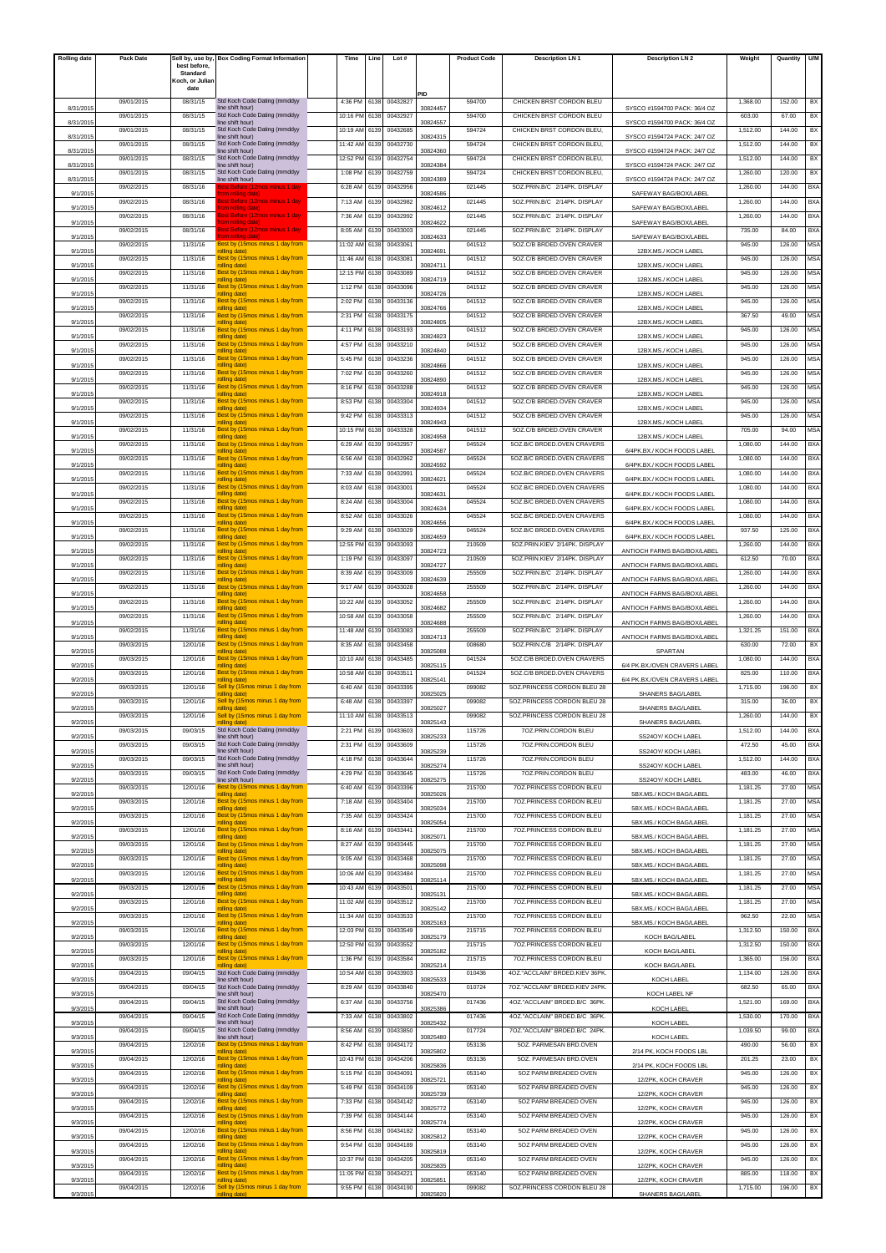| <b>Rolling date</b> | Pack Date  |                          | Sell by, use by, Box Coding Format Information           | Time          | Line | Lot#     |          | <b>Product Code</b> | <b>Description LN1</b>         | <b>Description LN 2</b>       | Weight   | Quantity | U/M        |
|---------------------|------------|--------------------------|----------------------------------------------------------|---------------|------|----------|----------|---------------------|--------------------------------|-------------------------------|----------|----------|------------|
|                     |            | best before.<br>Standard |                                                          |               |      |          |          |                     |                                |                               |          |          |            |
|                     |            | Koch, or Juliar<br>date  |                                                          |               |      |          |          |                     |                                |                               |          |          |            |
|                     | 09/01/2015 | 08/31/15                 | Std Koch Code Dating (mmddyy                             | 4:36 PM       | 6138 | 0043282  | PID      | 594700              | CHICKEN BRST CORDON BLEU       |                               | 1,368.00 | 152.00   | BX         |
| 8/31/201            |            |                          | line shift hour)                                         |               |      |          | 30824457 |                     |                                | SYSCO #1594700 PACK: 36/4 OZ  |          |          |            |
| 8/31/201            | 09/01/2015 | 08/31/15                 | Std Koch Code Dating (mmddyy<br>ine shift hour)          | 10:16 PM      | 6138 | 00432927 | 30824557 | 594700              | CHICKEN BRST CORDON BLEU       | SYSCO #1594700 PACK: 36/4 OZ  | 603.00   | 67.00    | BX         |
| 8/31/201            | 09/01/2015 | 08/31/15                 | Std Koch Code Dating (mmddyy<br>line shift hour)         | 10:19 AM      | 6139 | 00432685 | 30824315 | 594724              | CHICKEN BRST CORDON BLEU.      | SYSCO #1594724 PACK: 24/7 OZ  | 1,512.00 | 144.00   | BX         |
| 8/31/201            | 09/01/2015 | 08/31/15                 | Std Koch Code Dating (mmddyy<br>line shift hour)         | 11:42 AM      | 6139 | 00432730 | 30824360 | 594724              | CHICKEN BRST CORDON BLEU,      | SYSCO #1594724 PACK: 24/7 OZ  | 1,512.00 | 144.00   | BX         |
|                     | 09/01/2015 | 08/31/15                 | Std Koch Code Dating (mmddyy                             | 12:52 PM      | 6139 | 00432754 |          | 594724              | CHICKEN BRST CORDON BLEU,      |                               | 1,512.00 | 144.00   | BX         |
| 8/31/2015           | 09/01/2015 | 08/31/15                 | line shift hour)<br>Std Koch Code Dating (mmddyy         | 1:08 PM       | 6139 | 00432759 | 30824384 | 594724              | CHICKEN BRST CORDON BLEU.      | SYSCO #1594724 PACK: 24/7 OZ  | 1.260.00 | 120.00   | BX         |
| 8/31/2015           | 09/02/2015 | 08/31/16                 | line shift hour)                                         | 6:28 AM       | 6139 | 00432956 | 30824389 | 021445              | 5OZ.PRIN.B/C 2/14PK, DISPLAY   | SYSCO #1594724 PACK: 24/7 OZ  | 1,260.00 | 144.00   | BXA        |
| 9/1/2015            |            |                          | rolling date)                                            |               |      |          | 30824586 |                     |                                | SAFEWAY BAG/BOX/LABEL         |          |          |            |
| 9/1/201             | 09/02/2015 | 08/31/16                 | Best Before (12mos minus 1 day<br>om rolling date)       | 7:13 AM       | 6139 | 00432982 | 30824612 | 021445              | 5OZ.PRIN.B/C 2/14PK. DISPLAY   | SAFEWAY BAG/BOX/LABEL         | 1,260.00 | 144.00   | <b>BXA</b> |
| 9/1/201             | 09/02/2015 | 08/31/16                 | <b>Sest Before (12mos minus 1 da</b><br>om rolling date) | 7:36 AM       | 6139 | 00432992 | 30824622 | 021445              | 5OZ.PRIN.B/C 2/14PK. DISPLAY   | SAFEWAY BAG/BOX/LABEL         | 1,260.00 | 144.00   | <b>BXA</b> |
| 9/1/2015            | 09/02/2015 | 08/31/16                 | est Before (12mos minus 1 da<br>om rolling dati          | 8:05 AM       | 6139 | 00433003 | 30824633 | 021445              | 5OZ.PRIN.B/C 2/14PK. DISPLAY   | SAFEWAY BAG/BOX/LABEL         | 735.00   | 84.00    | BXA        |
|                     | 09/02/2015 | 11/31/16                 | Best by (15mos minus 1 day from                          | 11:02 AM      | 6138 | 00433061 |          | 041512              | 5OZ.C/B BRDED.OVEN CRAVER      |                               | 945.00   | 126.00   | <b>MSA</b> |
| 9/1/2015            | 09/02/2015 | 11/31/16                 | rolling date)<br>Best by (15mos minus 1 day from         | 11:46 AM      | 6138 | 00433081 | 30824691 | 041512              | 5OZ.C/B BRDED.OVEN CRAVER      | 12BX.MS./ KOCH LABEL          | 945.00   | 126.00   | MSA        |
| 9/1/2015            | 09/02/2015 | 11/31/16                 | rolling date)<br>Best by (15mos minus 1 day from         | 12:15 PM      | 6138 | 00433089 | 30824711 | 041512              | 5OZ.C/B BRDED.OVEN CRAVER      | 12BX.MS./ KOCH LABEL          | 945.00   | 126.00   | <b>MSA</b> |
| 9/1/201             | 09/02/2015 | 11/31/16                 | rolling date)<br>Best by (15mos minus 1 day from         | 1:12 PM       | 6138 | 00433096 | 30824719 | 041512              | 5OZ.C/B BRDED.OVEN CRAVER      | 12BX.MS./ KOCH LABEI          | 945.00   | 126.00   | <b>MSA</b> |
| 9/1/201             |            |                          | rolling date)                                            |               |      |          | 30824726 |                     |                                | 12BX.MS./ KOCH LABEL          |          |          |            |
| 9/1/2015            | 09/02/2015 | 11/31/16                 | Best by (15mos minus 1 day from<br>rolling date)         | 2:02 PM       | 6138 | 00433136 | 30824766 | 041512              | 5OZ.C/B BRDED.OVEN CRAVER      | 12BX.MS./ KOCH LABEI          | 945.00   | 126.00   | MSA        |
| 9/1/201             | 09/02/2015 | 11/31/16                 | Best by (15mos minus 1 day from<br>rolling date)         | 2:31 PM       | 6138 | 00433175 | 30824805 | 041512              | 5OZ.C/B BRDED.OVEN CRAVER      | 12BX.MS./ KOCH LABEI          | 367.50   | 49.00    | <b>MSA</b> |
| 9/1/2015            | 09/02/2015 | 11/31/16                 | Best by (15mos minus 1 day from<br>rolling date)         | 4:11 PM       | 6138 | 00433193 | 30824823 | 041512              | 5OZ.C/B BRDED.OVEN CRAVER      | 12BX.MS./ KOCH LABEI          | 945.00   | 126.00   | <b>MSA</b> |
|                     | 09/02/2015 | 11/31/16                 | Best by (15mos minus 1 day from                          | 4:57 PM       | 6138 | 00433210 |          | 041512              | 5OZ.C/B BRDED.OVEN CRAVER      |                               | 945.00   | 126.00   | <b>MSA</b> |
| 9/1/201             | 09/02/2015 | 11/31/16                 | rolling date)<br>Best by (15mos minus 1 day from         | 5:45 PM       | 6138 | 00433236 | 30824840 | 041512              | 5OZ.C/B BRDED.OVEN CRAVER      | 12BX.MS./ KOCH LABEI          | 945.00   | 126.00   | MSA        |
| 9/1/201             | 09/02/2015 | 11/31/16                 | rolling date)<br>Best by (15mos minus 1 day from         | 7:02 PM       | 6138 | 00433260 | 30824866 | 041512              | 5OZ.C/B BRDED.OVEN CRAVER      | 12BX.MS./ KOCH LABEL          | 945.00   | 126.00   | MSA        |
| 9/1/2015            |            |                          | rolling date)                                            |               |      |          | 30824890 |                     |                                | 12BX.MS./ KOCH LABEI          |          |          |            |
| 9/1/201             | 09/02/2015 | 11/31/16                 | Best by (15mos minus 1 day from<br>rolling date)         | 8:16 PM       | 6138 | 00433288 | 30824918 | 041512              | 5OZ.C/B BRDED.OVEN CRAVER      | 12BX.MS./ KOCH LABEI          | 945.00   | 126.00   | <b>MSA</b> |
| 9/1/201             | 09/02/2015 | 11/31/16                 | Best by (15mos minus 1 day from<br>rolling date)         | 8:53 PM       | 6138 | 00433304 | 30824934 | 041512              | 5OZ.C/B BRDED.OVEN CRAVER      | 12BX MS / KOCH LABEI          | 945.00   | 126.00   | <b>MSA</b> |
| 9/1/201             | 09/02/2015 | 11/31/16                 | Best by (15mos minus 1 day from<br>rolling date)         | 9:42 PM       | 6138 | 00433313 | 30824943 | 041512              | 50Z.C/B BRDED.OVEN CRAVER      | 12BX.MS./ KOCH LABEI          | 945.00   | 126.00   | <b>MSA</b> |
|                     | 09/02/2015 | 11/31/16                 | Best by (15mos minus 1 day from                          | 10:15 PM      | 6138 | 00433328 |          | 041512              | 5OZ.C/B BRDED.OVEN CRAVER      |                               | 705.00   | 94.00    | MSA        |
| 9/1/201             | 09/02/2015 | 11/31/16                 | rolling date)<br>Best by (15mos minus 1 day from         | 6:29 AM       | 6139 | 00432957 | 30824958 | 045524              | 5OZ.B/C BRDED.OVEN CRAVERS     | 12BX.MS./ KOCH LABEL          | 1,080.00 | 144.00   | BXA        |
| 9/1/2015            | 09/02/2015 | 11/31/16                 | rolling date)<br>Best by (15mos minus 1 day from         | 6:56 AM       | 6138 | 00432962 | 30824587 | 045524              | 507 B/C BRDED OVEN CRAVERS     | 6/4PK.BX./ KOCH FOODS LABEL   | 1,080.00 | 144.00   | BX/        |
| 9/1/201             | 09/02/2015 | 11/31/16                 | rolling date)<br>Best by (15mos minus 1 day from         | 7:33 AM       |      |          | 30824592 | 045524              | 5OZ.B/C BRDED.OVEN CRAVERS     | 6/4PK.BX./ KOCH FOODS LABEI   |          | 144.00   |            |
| 9/1/201             |            |                          | rolling date)                                            |               | 6138 | 00432991 | 30824621 |                     |                                | 6/4PK BX / KOCH FOODS LABEL   | 1,080.00 |          | BXA        |
| 9/1/201             | 09/02/2015 | 11/31/16                 | Best by (15mos minus 1 day from<br>rolling date)         | 8:03 AM       | 6138 | 00433001 | 30824631 | 045524              | 5OZ.B/C BRDED.OVEN CRAVERS     | 6/4PK.BX./ KOCH FOODS LABEL   | 1,080.00 | 144.00   | <b>BXA</b> |
| 9/1/201             | 09/02/2015 | 11/31/16                 | Best by (15mos minus 1 day from<br>rolling date)         | 8:24 AM       | 6138 | 00433004 | 30824634 | 045524              | 5OZ.B/C BRDED.OVEN CRAVERS     | 6/4PK.BX./ KOCH FOODS LABEL   | 1,080.00 | 144.00   | <b>BXA</b> |
|                     | 09/02/2015 | 11/31/16                 | Best by (15mos minus 1 day from                          | 8:52 AM       | 6138 | 00433026 |          | 045524              | 5OZ.B/C BRDED.OVEN CRAVERS     | 6/4PK.BX./ KOCH FOODS LABEL   | 1,080.00 | 144.00   | BXA        |
| 9/1/2015            | 09/02/2015 | 11/31/16                 | rolling date)<br>Best by (15mos minus 1 day from         | 9:29 AM       | 6138 | 00433029 | 30824656 | 045524              | 5OZ.B/C BRDED.OVEN CRAVERS     |                               | 937.50   | 125.00   | BX/        |
| 9/1/201             | 09/02/2015 | 11/31/16                 | rolling date)<br>Best by (15mos minus 1 day from         | 12:55 PM      | 6139 | 00433093 | 30824659 | 210509              | 5OZ.PRIN.KIEV 2/14PK. DISPLAY  | 6/4PK.BX./ KOCH FOODS LABEI   | 1,260.00 | 144.00   | BXA        |
| 9/1/201             | 09/02/2015 | 11/31/16                 | rolling date)<br>Best by (15mos minus 1 day from         | 1:19 PM       | 6139 | 00433097 | 30824723 | 210509              | 5OZ.PRIN.KIEV 2/14PK. DISPLAY  | ANTIOCH FARMS BAG/BOX/LABEI   | 612.50   | 70.00    | <b>BXA</b> |
| 9/1/201             |            |                          | rolling date)                                            |               |      |          | 30824727 |                     |                                | ANTIOCH FARMS BAG/BOX/LABEL   |          |          |            |
| 9/1/201             | 09/02/2015 | 11/31/16                 | Best by (15mos minus 1 day from<br>rolling date)         | 8:39 AM       | 6139 | 00433009 | 30824639 | 255509              | 5OZ.PRIN.B/C 2/14PK. DISPLAY   | ANTIOCH FARMS BAG/BOX/LABEL   | 1,260.00 | 144.00   | <b>BXA</b> |
| 9/1/2015            | 09/02/2015 | 11/31/16                 | Best by (15mos minus 1 day from<br>rolling date)         | 9:17 AM       | 6139 | 00433028 | 30824658 | 255509              | 5OZ.PRIN.B/C 2/14PK. DISPLAY   | ANTIOCH FARMS BAG/BOX/LABEL   | 1,260.00 | 144.00   | BXA        |
| 9/1/2015            | 09/02/2015 | 11/31/16                 | Best by (15mos minus 1 day from<br>rolling date)         | 10:22 AM      | 6139 | 00433052 | 30824682 | 255509              | 5OZ.PRIN.B/C 2/14PK, DISPLAY   | ANTIOCH FARMS BAG/BOX/LABEL   | 1.260.00 | 144.00   | <b>BXA</b> |
|                     | 09/02/2015 | 11/31/16                 | Best by (15mos minus 1 day from                          | 10:58 AM      | 6139 | 00433058 |          | 255509              | 5OZ.PRIN.B/C 2/14PK, DISPLAY   |                               | 1,260.00 | 144.00   | BXA        |
| 9/1/201             | 09/02/2015 | 11/31/16                 | rolling date)<br>Best by (15mos minus 1 day from         | 11:48 AM      | 6139 | 00433083 | 30824688 | 255509              | 5OZ.PRIN.B/C 2/14PK, DISPLAY   | ANTIOCH FARMS BAG/BOX/LABEI   | 1,321.25 | 151.00   | <b>BXA</b> |
| 9/1/201             | 09/03/2015 | 12/01/16                 | rolling date)<br>Best by (15mos minus 1 day from         | 8:35 AM       | 6138 | 00433458 | 30824713 | 008680              | 5OZ.PRIN.C/B 2/14PK. DISPLAY   | ANTIOCH FARMS BAG/BOX/LABEL   | 630.00   | 72.00    | BX         |
| 9/2/201             | 09/03/2015 | 12/01/16                 | rolling date)<br>Best by (15mos minus 1 day from         | 10:10 AM      | 6138 | 00433485 | 30825088 | 041524              | 5OZ.C/B BRDED.OVEN CRAVERS     | SPARTAN                       | 1,080.00 | 144.00   |            |
| 9/2/2015            |            |                          | rolling date)                                            |               |      |          | 30825115 |                     |                                | 6/4 PK.BX./OVEN CRAVERS LABEL |          |          | BXA        |
| 9/2/201             | 09/03/2015 | 12/01/16                 | Best by (15mos minus 1 day from<br>rolling date)         | 10:58 AM      | 6138 | 00433511 | 30825141 | 041524              | 507 C/B BRDED OVEN CRAVERS     | 6/4 PK.BX./OVEN CRAVERS LABEL | 825.00   | 110.00   | <b>BXA</b> |
| 9/2/201             | 09/03/2015 | 12/01/16                 | Sell by (15mos minus 1 day from<br>olling date)          | 6:40 AM       | 6138 | 00433395 | 3082502  | 099082              | 5OZ.PRINCESS CORDON BLEU 28    | <b>SHANERS BAG/LABEL</b>      | 1,715.00 | 196.00   | BX         |
| 9/2/2015            | 09/03/2015 | 12/01/16                 | Sell by (15mos minus 1 day from<br>rolling date)         | 6:48 AM       | 6138 | 00433397 | 30825027 | 099082              | 5OZ.PRINCESS CORDON BLEU 28    | SHANERS BAG/LABEL             | 315.00   | 36.00    | BX         |
|                     | 09/03/2015 | 12/01/16                 | Sell by (15mos minus 1 day from                          | 11:10 AM 6138 |      | 00433513 |          | 099082              | 5OZ.PRINCESS CORDON BLEU 28    |                               | 1,260.00 | 144.00   | BX         |
| 9/2/2015            | 09/03/2015 | 09/03/15                 | Std Koch Code Dating (mmddyy                             | 2:21 PM       | 6139 | 00433603 | 30825143 | 115726              | 70Z.PRIN.CORDON BLEU           | SHANERS BAG/LABEL             | 1,512.00 | 144.00   | <b>BXA</b> |
| 9/2/2015            | 09/03/2015 | 09/03/15                 | line shift hour)<br>Std Koch Code Dating (mmddyy         | 2:31 PM       | 6139 | 00433609 | 30825233 | 115726              | 70Z.PRIN.CORDON BLEU           | SS24OY/ KOCH LABEL            | 472.50   | 45.00    | BXA        |
| 9/2/2015            |            |                          | line shift hour)                                         |               |      |          | 30825239 |                     |                                | SS24OY/ KOCH LABEI            |          |          |            |
| 9/2/2015            | 09/03/2015 | 09/03/15                 | Std Koch Code Dating (mmddyy<br>line shift hour)         | 4:18 PM       | 6138 | 00433644 | 30825274 | 115726              | 70Z.PRIN.CORDON BLEU           | SS24OY/KOCH LABEI             | 1,512.00 | 144.00   | <b>BXA</b> |
| 9/2/2015            | 09/03/2015 | 09/03/15                 | Std Koch Code Dating (mmddyy<br>line shift hour)         | 4:29 PM       | 6138 | 00433645 | 30825275 | 115726              | 70Z.PRIN.CORDON BLEU           | SS24OY/ KOCH LABEL            | 483.00   | 46.00    | <b>BXA</b> |
|                     | 09/03/2015 | 12/01/16                 | Best by (15mos minus 1 day from<br>rolling date)         | 6:40 AM       | 6139 | 00433396 |          | 215700              | 70Z.PRINCESS CORDON BLEU       |                               | 1,181.25 | 27.00    | <b>MSA</b> |
| 9/2/2015            | 09/03/2015 | 12/01/16                 | Best by (15mos minus 1 day from                          | 7:18 AM       | 6139 | 00433404 | 30825026 | 215700              | 70Z.PRINCESS CORDON BLEU       | 5BX.MS./ KOCH BAG/LABEL       | 1,181.25 | 27.00    | <b>MSA</b> |
| 9/2/2015            | 09/03/2015 | 12/01/16                 | rolling date)<br>Best by (15mos minus 1 day from         | 7:35 AM       | 6139 | 00433424 | 30825034 | 215700              | 7OZ.PRINCESS CORDON BLEU       | 5BX.MS./ KOCH BAG/LABEL       | 1,181.25 | 27.00    | <b>MSA</b> |
| 9/2/2015            | 09/03/2015 | 12/01/16                 | rolling date)<br>Best by (15mos minus 1 day from         | 8:16 AM       | 6139 | 00433441 | 30825054 | 215700              | 70Z.PRINCESS CORDON BLEU       | 5BX.MS./ KOCH BAG/LABEL       | 1,181.25 | 27.00    | <b>MSA</b> |
| 9/2/2015            |            | 12/01/16                 | rolling date)<br>Best by (15mos minus 1 day from         |               |      | 00433445 | 30825071 | 215700              | 70Z.PRINCESS CORDON BLEU       | 5BX.MS./ KOCH BAG/LABEL       | 1,181.25 | 27.00    |            |
| 9/2/2015            | 09/03/2015 |                          | rolling date)                                            | 8:27 AM       | 6139 |          | 30825075 |                     |                                | 5BX.MS./ KOCH BAG/LABEL       |          |          | <b>MSA</b> |
| 9/2/2015            | 09/03/2015 | 12/01/16                 | Best by (15mos minus 1 day from<br>rolling date)         | 9:05 AM       | 6139 | 00433468 | 30825098 | 215700              | 70Z.PRINCESS CORDON BLEU       | 5BX.MS./ KOCH BAG/LABEL       | 1,181.25 | 27.00    | <b>MSA</b> |
| 9/2/2015            | 09/03/2015 | 12/01/16                 | Best by (15mos minus 1 day from<br>rolling date)         | 10:06 AM      | 6139 | 00433484 | 30825114 | 215700              | 70Z.PRINCESS CORDON BLEU       | 5BX.MS./ KOCH BAG/LABEL       | 1,181.25 | 27.00    | <b>MSA</b> |
| 9/2/2015            | 09/03/2015 | 12/01/16                 | Best by (15mos minus 1 day from<br>rolling date)         | 10:43 AM      | 6139 | 00433501 | 30825131 | 215700              | 70Z.PRINCESS CORDON BLEU       | 5BX.MS./ KOCH BAG/LABEL       | 1,181.25 | 27.00    | <b>MSA</b> |
|                     | 09/03/2015 | 12/01/16                 | Best by (15mos minus 1 day from                          | 11:02 AM      | 6139 | 00433512 |          | 215700              | 70Z.PRINCESS CORDON BLEU       |                               | 1,181.25 | 27.00    | <b>MSA</b> |
| 9/2/2015            | 09/03/2015 | 12/01/16                 | rolling date)<br>Best by (15mos minus 1 day from         | 11:34 AN      | 6139 | 00433533 | 30825142 | 215700              | 70Z.PRINCESS CORDON BLEU       | 5BX.MS./ KOCH BAG/LABEL       | 962.50   | 22.00    | <b>MSA</b> |
| 9/2/2015            | 09/03/2015 | 12/01/16                 | rolling date)<br>Best by (15mos minus 1 day from         | 12:03 PM      | 6139 | 00433549 | 30825163 | 215715              | 7OZ.PRINCESS CORDON BLEU       | 5BX.MS./ KOCH BAG/LABEL       | 1,312.50 | 150.00   | <b>BXA</b> |
| 9/2/2015            | 09/03/2015 | 12/01/16                 | rolling date)<br>Best by (15mos minus 1 day from         |               |      | 00433552 | 30825179 | 215715              | 70Z.PRINCESS CORDON BLEU       | KOCH BAG/LABEL                | 1,312.50 | 150.00   |            |
| 9/2/2015            |            |                          | rolling date)                                            | 12:50 PM      | 6139 |          | 30825182 |                     |                                | KOCH BAG/LABEL                |          |          | <b>BXA</b> |
| 9/2/2015            | 09/03/2015 | 12/01/16                 | Best by (15mos minus 1 day from<br>olling date)          | 1:36 PM       | 6139 | 00433584 | 30825214 | 215715              | 7OZ.PRINCESS CORDON BLEU       | KOCH BAG/LABEL                | 1,365.00 | 156.00   | BXA        |
| 9/3/2015            | 09/04/2015 | 09/04/15                 | Std Koch Code Dating (mmddyy<br>line shift hour)         | 10:54 AM      | 6138 | 00433903 | 30825533 | 010436              | 4OZ."ACCLAIM" BRDED.KIEV 36PK. | KOCH LABEL                    | 1,134.00 | 126.00   | <b>BXA</b> |
|                     | 09/04/2015 | 09/04/15                 | Std Koch Code Dating (mmddyy                             | 8:29 AM       | 6139 | 00433840 |          | 010724              | 7OZ."ACCLAIM" BRDED.KIEV 24PK. |                               | 682.50   | 65.00    | <b>BXA</b> |
| 9/3/2015            | 09/04/2015 | 09/04/15                 | line shift hour)<br>Std Koch Code Dating (mmddyy         | 6:37 AM       | 6138 | 00433756 | 30825470 | 017436              | 4OZ."ACCLAIM" BRDED.B/C 36PK.  | KOCH LABEL NF                 | 1,521.00 | 169.00   | <b>BXA</b> |
| 9/3/2015            | 09/04/2015 | 09/04/15                 | line shift hour)<br>Std Koch Code Dating (mmddyy         | 7:33 AM       | 6138 | 00433802 | 30825386 | 017436              | 4OZ."ACCLAIM" BRDED.B/C 36PK.  | KOCH LABEL                    | 1,530.00 | 170.00   | <b>BXA</b> |
| 9/3/2015            |            |                          | line shift hour)<br>Std Koch Code Dating (mmddyy         |               |      |          | 30825432 |                     |                                | KOCH LABEL                    |          |          |            |
| 9/3/201             | 09/04/2015 | 09/04/15                 | line shift hour)                                         | 8:56 AM       | 6139 | 00433850 | 30825480 | 017724              | 7OZ."ACCLAIM" BRDED.B/C 24PK.  | KOCH LABEL                    | 1,039.50 | 99.00    | <b>BXA</b> |
| 9/3/2015            | 09/04/2015 | 12/02/16                 | Best by (15mos minus 1 day from<br>rolling date)         | 8:42 PM       | 6138 | 00434172 | 30825802 | 053136              | 5OZ. PARMESAN BRD.OVEN         | 2/14 PK, KOCH FOODS LBL       | 490.00   | 56.00    | BX         |
| 9/3/2015            | 09/04/2015 | 12/02/16                 | Best by (15mos minus 1 day from<br>rolling date)         | 10:43 PN      | 6138 | 00434206 | 30825836 | 053136              | 5OZ. PARMESAN BRD.OVEN         | 2/14 PK, KOCH FOODS LBL       | 201.25   | 23.00    | BX         |
|                     | 09/04/2015 | 12/02/16                 | Best by (15mos minus 1 day from                          | 5:15 PM       | 6138 | 00434091 |          | 053140              | 5OZ PARM BREADED OVEN          |                               | 945.00   | 126.00   | BX         |
| 9/3/2015            | 09/04/2015 | 12/02/16                 | rolling date)<br>Best by (15mos minus 1 day from         | 5:49 PM       | 6138 | 00434109 | 30825721 | 053140              | 5OZ PARM BREADED OVEN          | 12/2PK, KOCH CRAVER           | 945.00   | 126.00   | BX         |
| 9/3/2015            | 09/04/2015 | 12/02/16                 | rolling date)<br>Best by (15mos minus 1 day from         | 7:33 PM       | 6138 | 00434142 | 30825739 | 053140              | 5OZ PARM BREADED OVEN          | 12/2PK, KOCH CRAVER           | 945.00   | 126.00   | BX         |
| 9/3/2015            | 09/04/2015 | 12/02/16                 | rolling date)<br>Best by (15mos minus 1 day from         | 7:39 PM       | 6138 | 00434144 | 30825772 | 053140              | 5OZ PARM BREADED OVEN          | 12/2PK, KOCH CRAVER           | 945.00   | 126.00   | BX         |
| 9/3/2015            |            |                          | rolling date)                                            |               |      |          | 30825774 |                     |                                | 12/2PK, KOCH CRAVER           |          |          |            |
| 9/3/2015            | 09/04/2015 | 12/02/16                 | Best by (15mos minus 1 day from<br>rolling date)         | 8:56 PM       | 6138 | 00434182 | 30825812 | 053140              | 5OZ PARM BREADED OVEN          | 12/2PK, KOCH CRAVER           | 945.00   | 126.00   | BX         |
| 9/3/2015            | 09/04/2015 | 12/02/16                 | Best by (15mos minus 1 day from<br>rolling date)         | 9:54 PM       | 6138 | 00434189 | 30825819 | 053140              | 5OZ PARM BREADED OVEN          | 12/2PK, KOCH CRAVER           | 945.00   | 126.00   | BX         |
| 9/3/2015            | 09/04/2015 | 12/02/16                 | Best by (15mos minus 1 day from<br>rolling date)         | 10:37 PM      | 6138 | 00434205 | 30825835 | 053140              | 5OZ PARM BREADED OVEN          | 12/2PK, KOCH CRAVER           | 945.00   | 126.00   | BX         |
|                     | 09/04/2015 | 12/02/16                 | Best by (15mos minus 1 day from                          | 11:05 PM      | 6138 | 00434221 |          | 053140              | 5OZ PARM BREADED OVEN          |                               | 885.00   | 118.00   | BX         |
| 9/3/2015            | 09/04/2015 | 12/02/16                 | rolling date)<br>Sell by (15mos minus 1 day from         | 9:55 PM       | 6138 | 00434190 | 30825851 | 099082              | 5OZ.PRINCESS CORDON BLEU 28    | 12/2PK, KOCH CRAVER           | 1,715.00 | 196.00   | BX         |
| 9/3/2015            |            |                          |                                                          |               |      |          | 3082582  |                     |                                | <b>SHANERS BAG/LABEL</b>      |          |          |            |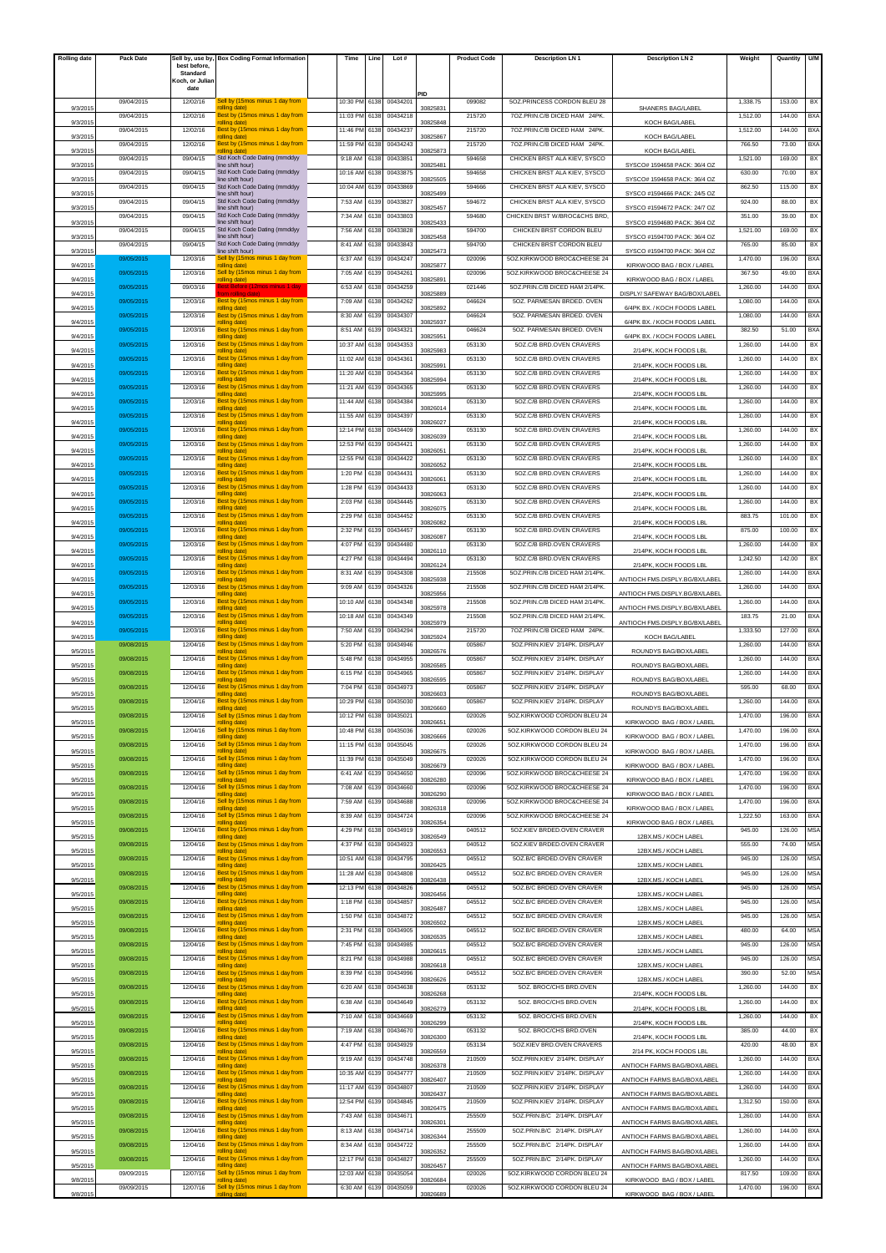| <b>Rolling date</b> | Pack Date  | Sell by, use by,         | <b>Box Coding Format Information</b>             | Time     | Line | Lot #    |          | <b>Product Code</b> | <b>Description LN1</b>         | <b>Description LN 2</b>                      | Weight   | Quantity | U/M        |
|---------------------|------------|--------------------------|--------------------------------------------------|----------|------|----------|----------|---------------------|--------------------------------|----------------------------------------------|----------|----------|------------|
|                     |            | best before,<br>Standard |                                                  |          |      |          |          |                     |                                |                                              |          |          |            |
|                     |            | Koch, or Juliar<br>date  |                                                  |          |      |          |          |                     |                                |                                              |          |          |            |
|                     | 09/04/2015 | 12/02/16                 | Sell by (15mos minus 1 day from                  | 10:30 PM | 6138 | 00434201 | PID      | 099082              | 5OZ.PRINCESS CORDON BLEU 28    |                                              | 1.338.75 | 153.00   | <b>BX</b>  |
| 9/3/201             | 09/04/2015 | 12/02/16                 | rolling date)<br>Best by (15mos minus 1 day from | 11:03 PM | 6138 | 00434218 | 3082583  | 215720              | 7OZ.PRIN.C/B DICED HAM 24PK.   | SHANERS BAG/LABEL                            | 1,512.00 | 144.00   | <b>BXA</b> |
| 9/3/201             | 09/04/2015 | 12/02/16                 | rolling date)<br>Best by (15mos minus 1 day from | 11:46 PM | 6138 | 00434237 | 30825848 | 215720              | 7OZ.PRIN.C/B DICED HAM 24PK.   | KOCH BAG/LABEI                               | 1,512.00 | 144.00   | <b>BXA</b> |
| 9/3/201             | 09/04/2015 | 12/02/16                 | rolling date)<br>Best by (15mos minus 1 day from | 11:59 PM | 6138 | 00434243 | 30825867 | 215720              | 7OZ.PRIN.C/B DICED HAM 24PK.   | KOCH BAG/LABEL                               | 766.50   | 73.00    | <b>BXA</b> |
| 9/3/201             | 09/04/2015 | 09/04/15                 | rolling date)<br>Std Koch Code Dating (mmddyy    | 9:18 AM  | 6138 | 00433851 | 30825873 | 594658              | CHICKEN BRST ALA KIEV, SYSCO   | KOCH BAG/LABEL                               | 1.521.00 | 169.00   | BX         |
| 9/3/2015            | 09/04/2015 | 09/04/15                 | line shift hour)<br>Std Koch Code Dating (mmddyy | 10:16 AM | 6138 | 00433875 | 30825481 | 594658              | CHICKEN BRST ALA KIEV, SYSCO   | SYSCO# 1594658 PACK: 36/4 OZ                 | 630.00   | 70.00    | BX         |
| 9/3/201             | 09/04/2015 | 09/04/15                 | ine shift hour)<br>Std Koch Code Dating (mmddyy  | 10:04 AM | 6139 | 00433869 | 30825505 | 594666              | CHICKEN BRST ALA KIEV, SYSCO   | SYSCO# 1594658 PACK: 36/4 OZ                 | 862.50   | 115.00   | BX         |
| 9/3/201             |            |                          | line shift hour)<br>Std Koch Code Dating (mmddyy |          |      |          | 30825499 |                     |                                | SYSCO #1594666 PACK: 24/5 OZ                 |          |          |            |
| 9/3/2015            | 09/04/2015 | 09/04/15                 | line shift hour)                                 | 7:53 AM  | 6139 | 00433827 | 30825457 | 594672              | CHICKEN BRST ALA KIEV, SYSCO   | SYSCO #1594672 PACK: 24/7 OZ                 | 924.00   | 88.00    | BX         |
| 9/3/201             | 09/04/2015 | 09/04/15                 | Std Koch Code Dating (mmddyy<br>ine shift hour)  | 7:34 AM  | 6138 | 00433803 | 30825433 | 594680              | CHICKEN BRST W/BROC&CHS BRD    | SYSCO #1594680 PACK: 36/4 OZ                 | 351.00   | 39.00    | BX         |
| 9/3/2015            | 09/04/2015 | 09/04/15                 | Std Koch Code Dating (mmddyy<br>line shift hour) | 7:56 AM  | 6138 | 00433828 | 30825458 | 594700              | CHICKEN BRST CORDON BLEU       | SYSCO #1594700 PACK: 36/4 OZ                 | 1.521.00 | 169.00   | BX         |
| 9/3/2015            | 09/04/2015 | 09/04/15                 | Std Koch Code Dating (mmddyy<br>line shift hour) | 8:41 AM  | 6138 | 00433843 | 30825473 | 594700              | CHICKEN BRST CORDON BLEU       | SYSCO #1594700 PACK: 36/4 OZ                 | 765.00   | 85.00    | BX         |
| 9/4/2015            | 09/05/2015 | 12/03/16                 | Sell by (15mos minus 1 day from<br>rolling date) | 6:37 AM  | 6139 | 00434247 | 30825877 | 020096              | 5OZ.KIRKWOOD BROC&CHEESE 24    | KIRKWOOD BAG / BOX / LABEL                   | 1,470.00 | 196.00   | <b>BXA</b> |
| 9/4/2015            | 09/05/2015 | 12/03/16                 | Sell by (15mos minus 1 day from<br>rolling date) | 7:05 AM  | 6139 | 00434261 | 30825891 | 020096              | 5OZ.KIRKWOOD BROC&CHEESE 24    | KIRKWOOD BAG / BOX / LABEL                   | 367.50   | 49.00    | <b>BXA</b> |
| 9/4/2015            | 09/05/2015 | 09/03/16                 | lest Before (12mos minus 1 day                   | 6:53 AM  | 6138 | 00434259 | 30825889 | 021446              | 5OZ.PRIN.C/B DICED HAM 2/14PK. | DISPLY/ SAFEWAY BAG/BOX/LABEI                | 1,260.00 | 144.00   | <b>BXA</b> |
| 9/4/2015            | 09/05/2015 | 12/03/16                 | Best by (15mos minus 1 day from<br>rolling date) | 7:09 AM  | 6138 | 00434262 | 30825892 | 046624              | 5OZ. PARMESAN BRDED, OVEN      | 6/4PK BX. / KOCH FOODS LABEL                 | 1,080.00 | 144.00   | BX/        |
| 9/4/2015            | 09/05/2015 | 12/03/16                 | Best by (15mos minus 1 day from<br>rolling date) | 8:30 AM  | 6139 | 00434307 | 30825937 | 046624              | 5OZ, PARMESAN BRDED, OVEN      | 6/4PK BX. / KOCH FOODS LABEL                 | 1,080.00 | 144.00   | <b>BXA</b> |
| 9/4/2015            | 09/05/2015 | 12/03/16                 | Best by (15mos minus 1 day from<br>rolling date) | 8:51 AM  | 6139 | 00434321 | 30825951 | 046624              | 5OZ. PARMESAN BRDED, OVEN      | 6/4PK BX. / KOCH FOODS LABEL                 | 382.50   | 51.00    | <b>BXA</b> |
|                     | 09/05/2015 | 12/03/16                 | Best by (15mos minus 1 day from                  | 10:37 AM | 6138 | 00434353 |          | 053130              | 5OZ.C/B BRD.OVEN CRAVERS       |                                              | 1,260.00 | 144.00   | BX         |
| 9/4/2015            | 09/05/2015 | 12/03/16                 | rolling date)<br>Best by (15mos minus 1 day from | 11:02 AM | 6138 | 00434361 | 30825983 | 053130              | 50Z.C/B BRD.OVEN CRAVERS       | 2/14PK, KOCH FOODS LBI                       | 1,260.00 | 144.00   | BX         |
| 9/4/2015            | 09/05/2015 | 12/03/16                 | rolling date)<br>Best by (15mos minus 1 day from | 11:20 AM | 6138 | 00434364 | 30825991 | 053130              | 507 C/B BRD OVEN CRAVERS       | 2/14PK, KOCH FOODS LB                        | 1.260.00 | 144.00   | BX         |
| 9/4/2015            | 09/05/2015 | 12/03/16                 | rolling date)<br>Best by (15mos minus 1 day from | 11:21 AM | 6139 | 00434365 | 30825994 | 053130              | 5OZ.C/B BRD.OVEN CRAVERS       | 2/14PK, KOCH FOODS LB                        | 1,260.00 | 144.00   | BX         |
| 9/4/2015            | 09/05/2015 | 12/03/16                 | rolling date)<br>Best by (15mos minus 1 day from | 11:44 AM | 6138 | 00434384 | 30825995 | 053130              | 5OZ.C/B BRD.OVEN CRAVERS       | 2/14PK, KOCH FOODS LBL                       | 1,260.00 | 144.00   | BX         |
| 9/4/2015            | 09/05/2015 | 12/03/16                 | rolling date)<br>Best by (15mos minus 1 day from | 11:55 AM | 6139 | 00434397 | 30826014 | 053130              | 5OZ.C/B BRD.OVEN CRAVERS       | 2/14PK, KOCH FOODS LBI                       | 1,260.00 | 144.00   | BX         |
| 9/4/2015            | 09/05/2015 | 12/03/16                 | rolling date)<br>Best by (15mos minus 1 day from | 12:14 PN | 6138 | 00434409 | 30826027 | 053130              | 50Z.C/B BRD.OVEN CRAVERS       | 2/14PK, KOCH FOODS LBL                       | 1.260.00 | 144.00   | BX         |
| 9/4/2015            | 09/05/2015 | 12/03/16                 | rolling date)<br>Best by (15mos minus 1 day from | 12:53 PM | 6139 | 00434421 | 30826039 | 053130              | 5OZ.C/B BRD.OVEN CRAVERS       | 2/14PK, KOCH FOODS LB                        | 1.260.00 | 144.00   | BX         |
| 9/4/2015            |            | 12/03/16                 | rolling date)<br>Best by (15mos minus 1 day from |          |      |          | 30826051 | 053130              |                                | 2/14PK, KOCH FOODS LB                        |          |          |            |
| 9/4/2015            | 09/05/2015 |                          | rolling date)                                    | 12:55 PM | 6138 | 00434422 | 30826052 |                     | 5OZ.C/B BRD.OVEN CRAVERS       | 2/14PK, KOCH FOODS LBL                       | 1,260.00 | 144.00   | BX         |
| 9/4/2015            | 09/05/2015 | 12/03/16                 | Best by (15mos minus 1 day from<br>rolling date) | 1:20 PM  | 6138 | 00434431 | 30826061 | 053130              | 5OZ.C/B BRD.OVEN CRAVERS       | 2/14PK, KOCH FOODS LB                        | 1,260.00 | 144.00   | BX         |
| 9/4/2015            | 09/05/2015 | 12/03/16                 | Best by (15mos minus 1 day from<br>rolling date) | 1:28 PM  | 6139 | 00434433 | 30826063 | 053130              | 5OZ.C/B BRD.OVEN CRAVERS       | 2/14PK, KOCH FOODS LBL                       | 1,260.00 | 144.00   | BX         |
| 9/4/2015            | 09/05/2015 | 12/03/16                 | Best by (15mos minus 1 day from<br>rolling date) | 2:03 PM  | 6138 | 00434445 | 30826075 | 053130              | 50Z.C/B BRD.OVEN CRAVERS       | 2/14PK, KOCH FOODS LB                        | 1,260.00 | 144.00   | BX         |
| 9/4/2015            | 09/05/2015 | 12/03/16                 | Best by (15mos minus 1 day from<br>rolling date) | 2:29 PM  | 6138 | 00434452 | 30826082 | 053130              | 5OZ.C/B BRD.OVEN CRAVERS       | 2/14PK, KOCH FOODS LB                        | 883.75   | 101.00   | BX         |
| 9/4/2015            | 09/05/2015 | 12/03/16                 | Best by (15mos minus 1 day from<br>rolling date  | 2:32 PM  | 6139 | 00434457 | 30826087 | 053130              | 5OZ.C/B BRD.OVEN CRAVERS       | 2/14PK, KOCH FOODS LBL                       | 875.00   | 100.00   | BX         |
| 9/4/2015            | 09/05/2015 | 12/03/16                 | Best by (15mos minus 1 day from<br>rolling date) | 4:07 PM  | 6139 | 00434480 | 30826110 | 053130              | 5OZ.C/B BRD.OVEN CRAVERS       | 2/14PK, KOCH FOODS LBL                       | 1,260.00 | 144.00   | BX         |
| 9/4/2015            | 09/05/2015 | 12/03/16                 | Best by (15mos minus 1 day from<br>rolling date) | 4:27 PM  | 6138 | 00434494 | 30826124 | 053130              | 5OZ.C/B BRD.OVEN CRAVERS       | 2/14PK, KOCH FOODS LBL                       | 1,242.50 | 142.00   | BX         |
| 9/4/2015            | 09/05/2015 | 12/03/16                 | Best by (15mos minus 1 day from<br>rolling date) | 8:31 AM  | 6139 | 00434308 | 30825938 | 215508              | 5OZ.PRIN.C/B DICED HAM 2/14PK. | ANTIOCH FMS.DISPLY.BG/BX/LABEL               | 1,260.00 | 144.00   | <b>BXA</b> |
|                     | 09/05/2015 | 12/03/16                 | Best by (15mos minus 1 day from                  | 9:09 AM  | 6139 | 00434326 |          | 215508              | 5OZ.PRIN.C/B DICED HAM 2/14PK. |                                              | 1,260.00 | 144.00   | BXA        |
| 9/4/2015            | 09/05/2015 | 12/03/16                 | rolling date)<br>Best by (15mos minus 1 day from | 10:10 AM | 6138 | 00434348 | 30825956 | 215508              | 5OZ.PRIN.C/B DICED HAM 2/14PK. | ANTIOCH FMS.DISPLY.BG/BX/LABEL               | 1,260.00 | 144.00   | <b>BXA</b> |
| 9/4/2015            | 09/05/2015 | 12/03/16                 | rolling date<br>Best by (15mos minus 1 day from  | 10:18 AM | 6138 | 00434349 | 30825978 | 215508              | 5OZ.PRIN.C/B DICED HAM 2/14PK. | ANTIOCH FMS.DISPLY.BG/BX/LABEL               | 183.75   | 21.00    | <b>BXA</b> |
| 9/4/2015            | 09/05/2015 | 12/03/16                 | rolling date)<br>Best by (15mos minus 1 day from | 7:50 AM  | 6139 | 00434294 | 30825979 | 215720              | 7OZ.PRIN.C/B DICED HAM 24PK.   | ANTIOCH FMS.DISPLY.BG/BX/LABEL               | 1,333.50 | 127.00   | <b>BXA</b> |
| 9/4/2015            | 09/08/2015 | 12/04/16                 | rolling date)<br>Best by (15mos minus 1 day from | 5:20 PM  | 6138 | 00434946 | 30825924 | 005867              | 5OZ.PRIN.KIEV 2/14PK. DISPLAY  | KOCH BAG/LABEL                               | 1,260.00 | 144.00   | <b>BXA</b> |
| 9/5/2015            | 09/08/2015 | 12/04/16                 | rolling date)<br>Best by (15mos minus 1 day from | 5:48 PM  | 6138 | 00434955 | 30826576 | 005867              | 5OZ.PRIN.KIEV 2/14PK. DISPLAY  | ROUNDYS BAG/BOX/LABEL                        | 1,260.00 | 144.00   | <b>BXA</b> |
| 9/5/2015            | 09/08/2015 | 12/04/16                 | rolling date)<br>Best by (15mos minus 1 day from | 6:15 PM  | 6138 | 00434965 | 30826585 | 005867              | 5OZ.PRIN.KIEV 2/14PK. DISPLAY  | ROUNDYS BAG/BOX/LABEI                        | 1,260.00 | 144.00   | <b>BXA</b> |
| 9/5/2015            | 09/08/2015 | 12/04/16                 | rolling date<br>Best by (15mos minus 1 day from  | 7:04 PM  | 6138 | 00434973 | 30826595 | 005867              | 5OZ.PRIN.KIEV 2/14PK. DISPLAY  | ROUNDYS BAG/BOX/LABEI                        | 595.00   | 68.00    | <b>BXA</b> |
| 9/5/2015            |            |                          | rolling date)                                    |          |      |          | 30826603 |                     |                                | ROUNDYS BAG/BOX/LABEI                        |          |          |            |
| 9/5/2015            | 09/08/2015 | 12/04/16                 | Best by (15mos minus 1 day from<br>rolling date) | 10:29 PM | 6138 | 00435030 | 30826660 | 005867              | 5OZ.PRIN.KIEV 2/14PK. DISPLAY  | ROUNDYS BAG/BOX/LABEL                        | 1,260.00 | 144.00   | <b>BXA</b> |
| 9/5/2015            | 09/08/2015 | 12/04/16                 | Sell by (15mos minus 1 day from<br>rolling date) | 10:12 PM | 6138 | 00435021 | 30826651 | 020026              | 5OZ.KIRKWOOD CORDON BLEU 24    | KIRKWOOD BAG / BOX / LABEL                   | 1,470.00 | 196.00   | <b>BXA</b> |
| 9/5/2015            | 09/08/2015 | 12/04/16                 | Sell by (15mos minus 1 day from<br>rolling date) | 10:48 PM | 6138 | 00435036 | 30826666 | 020026              | 5OZ.KIRKWOOD CORDON BLEU 24    | KIRKWOOD BAG / BOX / LABEL                   | 1,470.00 | 196.00   | <b>BXA</b> |
| 9/5/2015            | 09/08/2015 | 12/04/16                 | Sell by (15mos minus 1 day from<br>rolling date) | 11:15 PM | 6138 | 00435045 | 30826675 | 020026              | 5OZ.KIRKWOOD CORDON BLEU 24    | KIRKWOOD BAG / BOX / LABEL                   | 1,470.00 | 196.00   | <b>BXA</b> |
| 9/5/2015            | 09/08/2015 | 12/04/16                 | Sell by (15mos minus 1 day from<br>rolling date) | 11:39 PM | 6138 | 00435049 | 30826679 | 020026              | 5OZ.KIRKWOOD CORDON BLEU 24    | KIRKWOOD BAG / BOX / LABEL                   | 1,470.00 | 196.00   | <b>BXA</b> |
| 9/5/2015            | 09/08/2015 | 12/04/16                 | Sell by (15mos minus 1 day from<br>rolling date) | 6:41 AM  | 6139 | 00434650 | 30826280 | 020096              | 5OZ.KIRKWOOD BROC&CHEESE 24    | KIRKWOOD BAG / BOX / LABEL                   | 1,470.00 | 196.00   | <b>BXA</b> |
| 9/5/2015            | 09/08/2015 | 12/04/16                 | Sell by (15mos minus 1 day from<br>rolling date) | 7:08 AM  | 6139 | 00434660 | 30826290 | 020096              | 50Z.KIRKWOOD BROC&CHEESE 24    | KIRKWOOD BAG / BOX / LABEL                   | 1,470.00 | 196.00   | <b>BXA</b> |
| 9/5/2015            | 09/08/2015 | 12/04/16                 | Sell by (15mos minus 1 day from<br>rolling date) | 7:59 AM  | 6139 | 00434688 | 30826318 | 020096              | 5OZ.KIRKWOOD BROC&CHEESE 24    | KIRKWOOD BAG / BOX / LABEL                   | 1,470.00 | 196.00   | <b>BXA</b> |
| 9/5/2015            | 09/08/2015 | 12/04/16                 | Sell by (15mos minus 1 day from<br>rolling date) | 8:39 AM  | 6139 | 00434724 | 30826354 | 020096              | 50Z.KIRKWOOD BROC&CHEESE 24    | KIRKWOOD BAG / BOX / LABEL                   | 1,222.50 | 163.00   | <b>BXA</b> |
|                     | 09/08/2015 | 12/04/16                 | Best by (15mos minus 1 day from<br>rolling date) | 4:29 PM  | 6138 | 00434919 |          | 040512              | 5OZ.KIEV BRDED.OVEN CRAVER     |                                              | 945.00   | 126.00   | MSA        |
| 9/5/2015            | 09/08/2015 | 12/04/16                 | Best by (15mos minus 1 day from                  | 4:37 PM  | 6138 | 00434923 | 30826549 | 040512              | 5OZ.KIEV BRDED.OVEN CRAVER     | 12BX.MS./ KOCH LABEL<br>12BX.MS./ KOCH LABEL | 555.00   | 74.00    | MS/        |
| 9/5/2015            | 09/08/2015 | 12/04/16                 | rolling date)<br>Best by (15mos minus 1 day from | 10:51 AM | 6138 | 00434795 | 30826553 | 045512              | 5OZ.B/C BRDED.OVEN CRAVER      | 12BX.MS./ KOCH LABEL                         | 945.00   | 126.00   | <b>MSA</b> |
| 9/5/2015            | 09/08/2015 | 12/04/16                 | rolling date)<br>Best by (15mos minus 1 day from | 11:28 AM | 6138 | 00434808 | 30826425 | 045512              | 5OZ.B/C BRDED.OVEN CRAVER      |                                              | 945.00   | 126.00   | MS/        |
| 9/5/2015            | 09/08/2015 | 12/04/16                 | rolling date)<br>Best by (15mos minus 1 day from | 12:13 PM | 6138 | 00434826 | 30826438 | 045512              | 5OZ.B/C BRDED.OVEN CRAVER      | 12BX.MS./ KOCH LABEL                         | 945.00   | 126.00   | <b>MSA</b> |
| 9/5/2015            | 09/08/2015 | 12/04/16                 | rolling date)<br>Best by (15mos minus 1 day from | 1:18 PM  | 6138 | 00434857 | 30826456 | 045512              | 50Z.B/C BRDED.OVEN CRAVER      | 12BX.MS./ KOCH LABEL                         | 945.00   | 126.00   | MSA        |
| 9/5/2015            | 09/08/2015 | 12/04/16                 | rolling date)<br>Best by (15mos minus 1 day from | 1:50 PM  | 6138 | 00434872 | 30826487 | 045512              | 5OZ.B/C BRDED.OVEN CRAVER      | 12BX.MS./ KOCH LABEL                         | 945.00   | 126.00   | MS/        |
| 9/5/2015            | 09/08/2015 | 12/04/16                 | rolling date)<br>Best by (15mos minus 1 day from | 2:31 PM  | 6138 | 00434905 | 30826502 | 045512              | 50Z.B/C BRDED.OVEN CRAVER      | 12BX.MS./ KOCH LABEL                         | 480.00   | 64.00    | MSA        |
| 9/5/2015            | 09/08/2015 | 12/04/16                 | rolling date)<br>Best by (15mos minus 1 day from | 7:45 PM  | 6138 | 00434985 | 30826535 | 045512              | 5OZ.B/C BRDED.OVEN CRAVER      | 12BX.MS./ KOCH LABEL                         | 945.00   | 126.00   | MS/        |
| 9/5/2015            | 09/08/2015 | 12/04/16                 | rolling date)<br>Best by (15mos minus 1 day from | 8:21 PM  | 6138 | 00434988 | 30826615 | 045512              | 5OZ.B/C BRDED.OVEN CRAVER      | 12BX.MS./ KOCH LABEL                         | 945.00   | 126.00   | MS/        |
| 9/5/2015            | 09/08/2015 | 12/04/16                 | rolling date)<br>Best by (15mos minus 1 day from | 8:39 PM  | 6138 | 00434996 | 30826618 | 045512              | 5OZ.B/C BRDED.OVEN CRAVER      | 12BX.MS./ KOCH LABEL                         | 390.00   | 52.00    | MS/        |
| 9/5/2015            |            |                          | rolling date)<br>Best by (15mos minus 1 day from |          |      |          | 30826626 | 053132              |                                | 12BX.MS./ KOCH LABEL                         |          |          |            |
| 9/5/2015            | 09/08/2015 | 12/04/16                 | rolling date)                                    | 6:20 AM  | 6138 | 00434638 | 30826268 |                     | 5OZ. BROC/CHS BRD.OVEN         | 2/14PK, KOCH FOODS LBL                       | 1,260.00 | 144.00   | BX         |
| 9/5/2015            | 09/08/2015 | 12/04/16                 | Best by (15mos minus 1 day from<br>rolling date) | 6:38 AM  | 6138 | 00434649 | 30826279 | 053132              | 5OZ. BROC/CHS BRD.OVEN         | 2/14PK, KOCH FOODS LBL                       | 1,260.00 | 144.00   | <b>BX</b>  |
| 9/5/2015            | 09/08/2015 | 12/04/16                 | Best by (15mos minus 1 day from<br>rolling date) | 7:10 AM  | 6138 | 00434669 | 30826299 | 053132              | 5OZ. BROC/CHS BRD.OVEN         | 2/14PK, KOCH FOODS LBL                       | 1,260.00 | 144.00   | BX         |
| 9/5/2015            | 09/08/2015 | 12/04/16                 | Best by (15mos minus 1 day from<br>rolling date) | 7:19 AM  | 6138 | 00434670 | 30826300 | 053132              | 5OZ. BROC/CHS BRD.OVEN         | 2/14PK, KOCH FOODS LBL                       | 385.00   | 44.00    | BX         |
| 9/5/2015            | 09/08/2015 | 12/04/16                 | Best by (15mos minus 1 day from<br>rolling date) | 4:47 PM  | 6138 | 00434929 | 30826559 | 053134              | 5OZ.KIEV BRD.OVEN CRAVERS      | 2/14 PK, KOCH FOODS LBL                      | 420.00   | 48.00    | BX         |
| 9/5/2015            | 09/08/2015 | 12/04/16                 | Best by (15mos minus 1 day from<br>rolling date) | 9:19 AM  | 6139 | 00434748 | 30826378 | 210509              | 5OZ.PRIN.KIEV 2/14PK. DISPLAY  | ANTIOCH FARMS BAG/BOX/LABEL                  | 1,260.00 | 144.00   | <b>BXA</b> |
| 9/5/2015            | 09/08/2015 | 12/04/16                 | Best by (15mos minus 1 day from<br>rolling date) | 10:35 AM | 6139 | 00434777 | 30826407 | 210509              | 5OZ.PRIN.KIEV 2/14PK. DISPLAY  | ANTIOCH FARMS BAG/BOX/LABEL                  | 1,260.00 | 144.00   | <b>BXA</b> |
| 9/5/2015            | 09/08/2015 | 12/04/16                 | Best by (15mos minus 1 day from<br>rolling date) | 11:17 AM | 6139 | 00434807 | 30826437 | 210509              | 5OZ.PRIN.KIEV 2/14PK. DISPLAY  | ANTIOCH FARMS BAG/BOX/LABEL                  | 1,260.00 | 144.00   | <b>BXA</b> |
| 9/5/2015            | 09/08/2015 | 12/04/16                 | Best by (15mos minus 1 day from<br>rolling date) | 12:54 PN | 6139 | 00434845 | 30826475 | 210509              | 5OZ.PRIN.KIEV 2/14PK. DISPLAY  | ANTIOCH FARMS BAG/BOX/LABEL                  | 1,312.50 | 150.00   | <b>BXA</b> |
|                     | 09/08/2015 | 12/04/16                 | Best by (15mos minus 1 day from                  | 7:43 AM  | 6138 | 00434671 |          | 255509              | 5OZ.PRIN.B/C 2/14PK. DISPLAY   |                                              | 1,260.00 | 144.00   | <b>BXA</b> |
| 9/5/2015            | 09/08/2015 | 12/04/16                 | rolling date)<br>Best by (15mos minus 1 day from | 8:13 AM  | 6138 | 00434714 | 30826301 | 255509              | 5OZ.PRIN.B/C 2/14PK. DISPLAY   | ANTIOCH FARMS BAG/BOX/LABEL                  | 1,260.00 | 144.00   | <b>BXA</b> |
| 9/5/2015            | 09/08/2015 | 12/04/16                 | rolling date)<br>Best by (15mos minus 1 day from | 8:34 AM  | 6138 | 00434722 | 30826344 | 255509              | 5OZ.PRIN.B/C 2/14PK. DISPLAY   | ANTIOCH FARMS BAG/BOX/LABEL                  | 1,260.00 | 144.00   | <b>BXA</b> |
| 9/5/2015            | 09/08/2015 | 12/04/16                 | rolling date)<br>Best by (15mos minus 1 day from | 12:17 PM | 6138 | 00434827 | 30826352 | 255509              | 5OZ.PRIN.B/C 2/14PK. DISPLAY   | ANTIOCH FARMS BAG/BOX/LABEL                  | 1,260.00 | 144.00   | <b>BXA</b> |
| 9/5/2015            | 09/09/2015 | 12/07/16                 | rolling date)<br>Sell by (15mos minus 1 day from | 12:03 AM | 6138 | 00435054 | 30826457 | 020026              | 5OZ.KIRKWOOD CORDON BLEU 24    | ANTIOCH FARMS BAG/BOX/LABEL                  | 817.50   | 109.00   | <b>BXA</b> |
| 9/8/2015            | 09/09/2015 | 12/07/16                 | rolling date)<br>Sell by (15mos minus 1 day from | 6:30 AM  | 6139 | 00435059 | 30826684 | 020026              | 5OZ.KIRKWOOD CORDON BLEU 24    | KIRKWOOD BAG / BOX / LABEL                   | 1,470.00 | 196.00   | <b>BXA</b> |
| 9/8/2015            |            |                          | olling date)                                     |          |      |          | 30826689 |                     |                                | KIRKWOOD BAG / BOX / LABEL                   |          |          |            |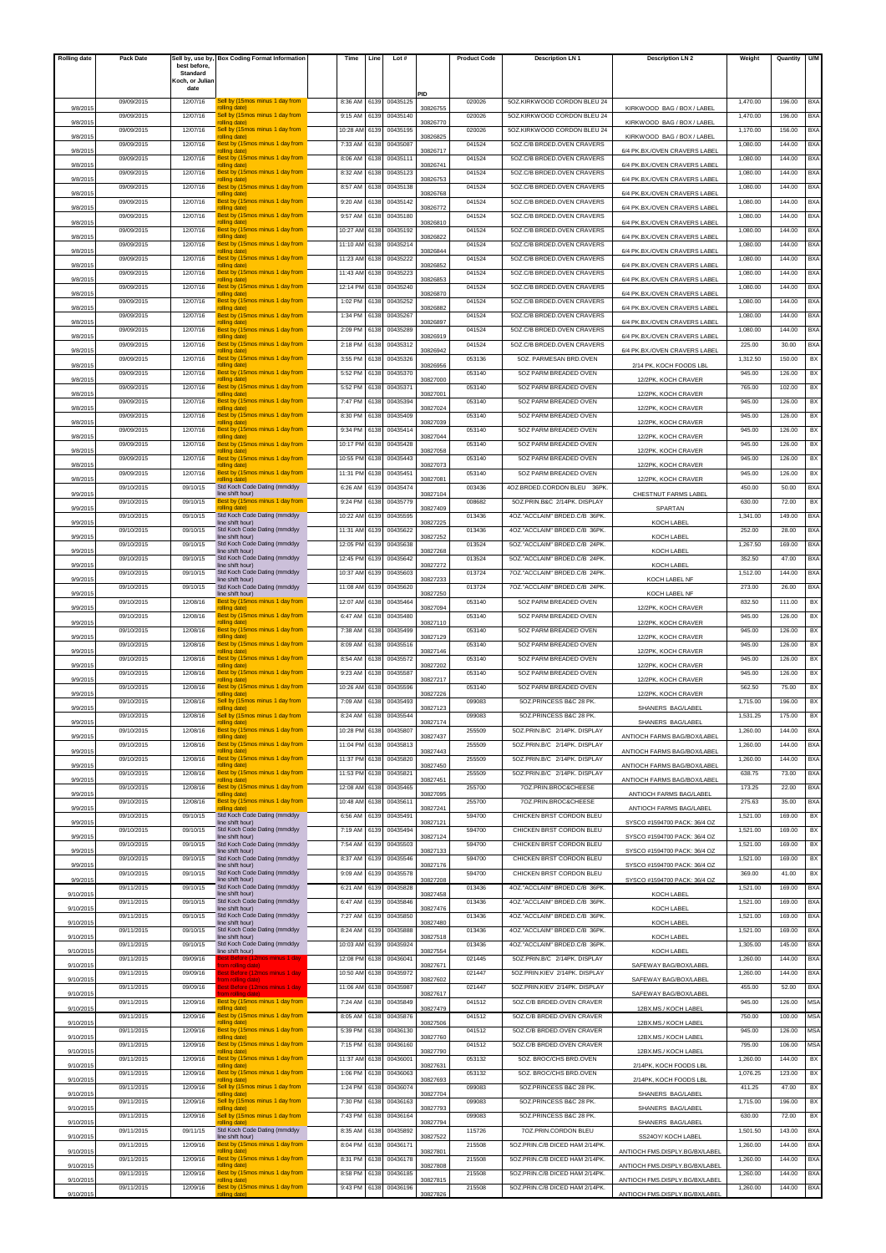| <b>Rolling date</b> | Pack Date  |                          | Sell by, use by, Box Coding Format Information      | Time     | Line | Lot#     |          | <b>Product Code</b> | <b>Description LN1</b>                         | <b>Description LN 2</b>        | Weight   | Quantity | <b>U/M</b> |
|---------------------|------------|--------------------------|-----------------------------------------------------|----------|------|----------|----------|---------------------|------------------------------------------------|--------------------------------|----------|----------|------------|
|                     |            | best before.<br>Standard |                                                     |          |      |          |          |                     |                                                |                                |          |          |            |
|                     |            | Koch, or Juliar<br>date  |                                                     |          |      |          |          |                     |                                                |                                |          |          |            |
|                     | 09/09/2015 | 12/07/16                 | Sell by (15mos minus 1 day from                     | 8:36 AM  | 6139 | 00435125 | PID      | 020026              | 5OZ.KIRKWOOD CORDON BLEU 24                    |                                | 1,470.00 | 196.00   | BX/        |
| 9/8/201             | 09/09/2015 | 12/07/16                 | rolling date)<br>Sell by (15mos minus 1 day from    | 9:15 AM  | 6139 | 00435140 | 30826755 | 020026              | 5OZ.KIRKWOOD CORDON BLEU 24                    | KIRKWOOD BAG / BOX / LABEL     | 1,470.00 | 196.00   | BXA        |
| 9/8/201             | 09/09/2015 | 12/07/16                 | rolling date)<br>Sell by (15mos minus 1 day from    | 10:28 AM | 6139 | 00435195 | 30826770 | 020026              | 5OZ.KIRKWOOD CORDON BLEU 24                    | KIRKWOOD BAG / BOX / LABEL     | 1,170.00 | 156.00   | <b>BXA</b> |
| 9/8/201             | 09/09/2015 | 12/07/16                 | rolling date)<br>Best by (15mos minus 1 day from    | 7:33 AM  | 6138 | 00435087 | 30826825 | 041524              | 5OZ.C/B BRDED.OVEN CRAVERS                     | KIRKWOOD BAG / BOX / LABEL     | 1,080.00 | 144.00   | <b>BXA</b> |
| 9/8/201             |            |                          | rolling date)<br>Best by (15mos minus 1 day from    |          |      |          | 30826717 | 041524              |                                                | 6/4 PK.BX./OVEN CRAVERS LABEL  |          |          |            |
| 9/8/2015            | 09/09/2015 | 12/07/16                 | rolling date)                                       | 8:06 AM  | 6138 | 00435111 | 30826741 |                     | 5OZ.C/B BRDED.OVEN CRAVERS                     | 6/4 PK.BX./OVEN CRAVERS LABEL  | 1,080.00 | 144.00   | BXA        |
| 9/8/201             | 09/09/2015 | 12/07/16                 | Best by (15mos minus 1 day from<br>rolling date)    | 8:32 AM  | 6138 | 00435123 | 30826753 | 041524              | 5OZ.C/B BRDED.OVEN CRAVERS                     | 6/4 PK.BX./OVEN CRAVERS LABEL  | 1.080.00 | 144.00   | <b>BXA</b> |
| 9/8/201             | 09/09/2015 | 12/07/16                 | Best by (15mos minus 1 day from<br>rolling date)    | 8:57 AM  | 6138 | 00435138 | 30826768 | 041524              | 5OZ.C/B BRDED.OVEN CRAVERS                     | 6/4 PK.BX./OVEN CRAVERS LABEL  | 1,080.00 | 144.00   | BXA        |
| 9/8/201             | 09/09/2015 | 12/07/16                 | Best by (15mos minus 1 day from<br>rolling date)    | 9:20 AM  | 6138 | 00435142 | 30826772 | 041524              | 5OZ.C/B BRDED.OVEN CRAVERS                     | 6/4 PK.BX./OVEN CRAVERS LABEL  | 1,080.00 | 144.00   | <b>BXA</b> |
| 9/8/201             | 09/09/2015 | 12/07/16                 | Best by (15mos minus 1 day from<br>rolling date)    | 9:57 AM  | 6138 | 00435180 | 30826810 | 041524              | 5OZ.C/B BRDED.OVEN CRAVERS                     | 6/4 PK.BX./OVEN CRAVERS LABEL  | 1,080.00 | 144.00   | <b>BXA</b> |
| 9/8/2015            | 09/09/2015 | 12/07/16                 | Best by (15mos minus 1 day from<br>rolling date)    | 10:27 AM | 6138 | 00435192 | 30826822 | 041524              | 5OZ.C/B BRDED.OVEN CRAVERS                     | 6/4 PK.BX./OVEN CRAVERS LABEL  | 1,080.00 | 144.00   | BXA        |
| 9/8/2015            | 09/09/2015 | 12/07/16                 | Best by (15mos minus 1 day from<br>rolling date)    | 11:10 AM | 6138 | 00435214 | 30826844 | 041524              | 507 C/B BRDED OVEN CRAVERS                     | 6/4 PK.BX./OVEN CRAVERS LABEL  | 1.080.00 | 144.00   | <b>BXA</b> |
| 9/8/2015            | 09/09/2015 | 12/07/16                 | Best by (15mos minus 1 day from<br>rolling date)    | 11:23 AM | 6138 | 00435222 | 30826852 | 041524              | 507 C/B BRDED OVEN CRAVERS                     | 6/4 PK.BX./OVEN CRAVERS LABEL  | 1,080.00 | 144.00   | BXA        |
| 9/8/201             | 09/09/2015 | 12/07/16                 | Best by (15mos minus 1 day from<br>rolling date)    | 11:43 AM | 6138 | 00435223 | 30826853 | 041524              | 5OZ.C/B BRDED.OVEN CRAVERS                     | 6/4 PK.BX./OVEN CRAVERS LABEL  | 1,080.00 | 144.00   | <b>BXA</b> |
| 9/8/201             | 09/09/2015 | 12/07/16                 | Best by (15mos minus 1 day from<br>rolling date)    | 12:14 PM | 6138 | 00435240 | 30826870 | 041524              | 5OZ.C/B BRDED.OVEN CRAVERS                     | 6/4 PK.BX./OVEN CRAVERS LABEL  | 1,080.00 | 144.00   | <b>BXA</b> |
| 9/8/2015            | 09/09/2015 | 12/07/16                 | Best by (15mos minus 1 day from<br>rolling date)    | 1:02 PM  | 6138 | 00435252 | 30826882 | 041524              | 5OZ.C/B BRDED.OVEN CRAVERS                     | 6/4 PK.BX./OVEN CRAVERS LABEL  | 1,080.00 | 144.00   | BXA        |
| 9/8/2015            | 09/09/2015 | 12/07/16                 | Best by (15mos minus 1 day from<br>rolling date)    | 1:34 PM  | 6138 | 00435267 | 30826897 | 041524              | 5OZ.C/B BRDED.OVEN CRAVERS                     | 6/4 PK.BX./OVEN CRAVERS LABEL  | 1.080.00 | 144.00   | <b>BXA</b> |
| 9/8/2015            | 09/09/2015 | 12/07/16                 | Best by (15mos minus 1 day from<br>rolling date)    | 2:09 PM  | 6138 | 00435289 | 30826919 | 041524              | 5OZ.C/B BRDED.OVEN CRAVERS                     | 6/4 PK.BX./OVEN CRAVERS LABEL  | 1,080.00 | 144.00   | BXA        |
| 9/8/201             | 09/09/2015 | 12/07/16                 | Best by (15mos minus 1 day from<br>rolling date)    | 2:18 PM  | 6138 | 00435312 | 30826942 | 041524              | 5OZ.C/B BRDED.OVEN CRAVERS                     | 6/4 PK.BX./OVEN CRAVERS LABEL  | 225.00   | 30.00    | <b>BXA</b> |
|                     | 09/09/2015 | 12/07/16                 | Best by (15mos minus 1 day from<br>rolling date)    | 3:55 PM  | 6138 | 00435326 |          | 053136              | 5OZ. PARMESAN BRD.OVEN                         |                                | 1,312.50 | 150.00   | BX         |
| 9/8/201             | 09/09/2015 | 12/07/16                 | Best by (15mos minus 1 day from                     | 5:52 PM  | 6138 | 00435370 | 30826956 | 053140              | 5OZ PARM BREADED OVEN                          | 2/14 PK, KOCH FOODS LBL        | 945.00   | 126.00   | BX         |
| 9/8/2015            | 09/09/2015 | 12/07/16                 | rolling date)<br>Best by (15mos minus 1 day from    | 5:52 PM  | 6138 | 00435371 | 30827000 | 053140              | 507 PARM BREADED OVEN                          | 12/2PK, KOCH CRAVER            | 765.00   | 102.00   | BX         |
| 9/8/201             | 09/09/2015 | 12/07/16                 | rolling date)<br>Best by (15mos minus 1 day from    | 7:47 PM  | 6138 | 00435394 | 30827001 | 053140              | 5OZ PARM BREADED OVEN                          | 12/2PK, KOCH CRAVER            | 945.00   | 126.00   | BX         |
| 9/8/201             | 09/09/2015 | 12/07/16                 | rolling date)<br>Best by (15mos minus 1 day from    | 8:30 PM  | 6138 | 00435409 | 30827024 | 053140              | 50Z PARM BREADED OVEN                          | 12/2PK, KOCH CRAVER            | 945.00   | 126.00   | BX         |
| 9/8/201             | 09/09/2015 | 12/07/16                 | rolling date)<br>Best by (15mos minus 1 day from    | 9:34 PM  | 6138 | 00435414 | 30827039 | 053140              | 5OZ PARM BREADED OVEN                          | 12/2PK, KOCH CRAVER            | 945.00   | 126.00   | BX         |
| 9/8/201             | 09/09/2015 | 12/07/16                 | rolling date)<br>Best by (15mos minus 1 day from    | 10:17 PM | 6138 | 00435428 | 30827044 | 053140              | 5OZ PARM BREADED OVEN                          | 12/2PK, KOCH CRAVER            | 945.00   | 126.00   | BX         |
| 9/8/2015            | 09/09/2015 | 12/07/16                 | rolling date)<br>Best by (15mos minus 1 day from    | 10:55 PM | 6138 | 00435443 | 30827058 | 053140              | 5OZ PARM BREADED OVEN                          | 12/2PK, KOCH CRAVER            | 945.00   | 126.00   | BX         |
| 9/8/201             | 09/09/2015 | 12/07/16                 | rolling date)<br>Best by (15mos minus 1 day from    | 11:31 PM | 6138 | 0043545  | 30827073 | 053140              | 5OZ PARM BREADED OVEN                          | 12/2PK, KOCH CRAVER            | 945.00   | 126.00   | BX         |
| 9/8/201             | 09/10/2015 | 09/10/15                 | olling date<br>Std Koch Code Dating (mmddyy         | 6:26 AM  | 6139 | 00435474 | 30827081 | 003436              | 4OZ.BRDED.CORDON BLEU 36PK.                    | 12/2PK KOCH CRAVER             | 450.00   | 50.00    | <b>BXA</b> |
| 9/9/201             | 09/10/2015 | 09/10/15                 | line shift hour)<br>Best by (15mos minus 1 day from | 9:24 PM  | 6138 | 00435779 | 30827104 | 008682              | 5OZ.PRIN.B&C 2/14PK. DISPLAY                   | CHESTNUT FARMS LABEL           | 630.00   | 72.00    | BX         |
| 9/9/201             | 09/10/2015 | 09/10/15                 | olling date<br>Std Koch Code Dating (mmddyy         | 10:22 AM | 6139 | 00435595 | 30827409 | 013436              | 4OZ."ACCLAIM" BRDED.C/B 36PK.                  | SPARTAN                        | 1,341.00 | 149.00   | BXA        |
| 9/9/2015            | 09/10/2015 | 09/10/15                 | line shift hour)<br>Std Koch Code Dating (mmddyy    | 11:31 AM | 6139 | 00435622 | 30827225 | 013436              | 4OZ."ACCLAIM" BRDED.C/B 36PK                   | KOCH LABEL                     | 252.00   | 28.00    | BX/        |
| 9/9/201             | 09/10/2015 | 09/10/15                 | line shift hour)<br>Std Koch Code Dating (mmddyy    | 12:05 PM | 6139 | 00435638 | 30827252 | 013524              | 5OZ."ACCLAIM" BRDED.C/B 24PK.                  | KOCH LABEL                     | 1,267.50 | 169.00   | BXA        |
| 9/9/201             | 09/10/2015 | 09/10/15                 | ine shift hour)<br>Std Koch Code Dating (mmddyy     | 12:45 PM | 6139 | 00435642 | 30827268 | 013524              | 5OZ."ACCLAIM" BRDED.C/B 24PK.                  | KOCH LABEI                     | 352.50   | 47.00    | <b>BXA</b> |
| 9/9/201             | 09/10/2015 | 09/10/15                 | line shift hour)<br>Std Koch Code Dating (mmddyy    | 10:37 AM | 6139 | 00435603 | 30827272 | 013724              | 7OZ."ACCLAIM" BRDED.C/B 24PK.                  | KOCH LABEL                     | 1,512.00 | 144.00   | <b>BXA</b> |
| 9/9/201             | 09/10/2015 | 09/10/15                 | line shift hour)<br>Std Koch Code Dating (mmddyy    | 11:08 AM | 6139 | 00435620 | 30827233 | 013724              | 7OZ."ACCLAIM" BRDED.C/B 24PK.                  | KOCH LABEL NF                  | 273.00   | 26.00    | BXA        |
| 9/9/2015            | 09/10/2015 | 12/08/16                 | line shift hour)<br>Best by (15mos minus 1 day from | 12:07 AM | 6138 | 00435464 | 30827250 | 053140              | 5OZ PARM BREADED OVEN                          | KOCH LABEL NF                  | 832.50   | 111.00   | BX         |
| 9/9/2015            | 09/10/2015 | 12/08/16                 | rolling date)<br>Best by (15mos minus 1 day from    | 6:47 AM  | 6138 | 00435480 | 30827094 | 053140              | 5OZ PARM BREADED OVEN                          | 12/2PK, KOCH CRAVER            | 945.00   | 126.00   | BX         |
| 9/9/201             | 09/10/2015 | 12/08/16                 | rolling date)<br>Best by (15mos minus 1 day from    | 7:38 AM  | 6138 | 00435499 | 30827110 | 053140              | 5OZ PARM BREADED OVEN                          | 12/2PK, KOCH CRAVER            | 945.00   | 126.00   | BX         |
| 9/9/201             |            |                          | rolling date)<br>Best by (15mos minus 1 day from    |          |      |          | 30827129 |                     |                                                | 12/2PK, KOCH CRAVER            |          |          |            |
| 9/9/201             | 09/10/2015 | 12/08/16                 | rolling date)<br>Best by (15mos minus 1 day from    | 8:09 AM  | 6138 | 00435516 | 30827146 | 053140              | 5OZ PARM BREADED OVEN<br>5OZ PARM BREADED OVEN | 12/2PK, KOCH CRAVER            | 945.00   | 126.00   | BX         |
| 9/9/2015            | 09/10/2015 | 12/08/16                 | rolling date)                                       | 8:54 AM  | 6138 | 00435572 | 30827202 | 053140              |                                                | 12/2PK, KOCH CRAVER            | 945.00   | 126.00   | BX         |
| 9/9/201             | 09/10/2015 | 12/08/16                 | Best by (15mos minus 1 day from<br>rolling date)    | 9:23 AM  | 6138 | 00435587 | 30827217 | 053140              | 5OZ PARM BREADED OVEN                          | 12/2PK, KOCH CRAVER            | 945.00   | 126.00   | BX         |
| 9/9/201             | 09/10/2015 | 12/08/16                 | Best by (15mos minus 1 day from<br>olling date)     | 10:26 AM | 6138 | 00435596 | 3082722  | 053140              | 5OZ PARM BREADED OVEN                          | 12/2PK, KOCH CRAVER            | 562.50   | 75.00    | BX         |
| 9/9/2015            | 09/10/2015 | 12/08/16                 | Sell by (15mos minus 1 day from<br>rolling date)    | 7:09 AM  | 6138 | 00435493 | 30827123 | 099083              | 50Z.PRINCESS B&C 28 PK.                        | SHANERS BAG/LABEL              | 1,715.00 | 196.00   | BX         |
| 9/9/2015            | 09/10/2015 | 12/08/16                 | Sell by (15mos minus 1 day from                     | 8:24 AM  | 6138 | 00435544 | 30827174 | 099083              | 5OZ.PRINCESS B&C 28 PK.                        | SHANERS BAG/LABEL              | 1,531.25 | 175.00   | BX         |
| 9/9/2015            | 09/10/2015 | 12/08/16                 | Best by (15mos minus 1 day from<br>rolling date)    | 10:28 PM | 6138 | 00435807 | 30827437 | 255509              | 5OZ.PRIN.B/C 2/14PK. DISPLAY                   | ANTIOCH FARMS BAG/BOX/LABEL    | 1,260.00 | 144.00   | <b>BXA</b> |
| 9/9/2015            | 09/10/2015 | 12/08/16                 | Best by (15mos minus 1 day from<br>rolling date)    | 11:04 PM | 6138 | 00435813 | 30827443 | 255509              | 5OZ.PRIN.B/C 2/14PK. DISPLAY                   | ANTIOCH FARMS BAG/BOX/LABEL    | 1,260.00 | 144.00   | BXA        |
| 9/9/2015            | 09/10/2015 | 12/08/16                 | Best by (15mos minus 1 day from<br>rolling date)    | 11:37 PM | 6138 | 00435820 | 30827450 | 255509              | 5OZ.PRIN.B/C 2/14PK. DISPLAY                   | ANTIOCH FARMS BAG/BOX/LABEL    | 1,260.00 | 144.00   | BXA        |
| 9/9/2015            | 09/10/2015 | 12/08/16                 | Best by (15mos minus 1 day from<br>rolling date)    | 11:53 PM | 6138 | 00435821 | 30827451 | 255509              | 5OZ.PRIN.B/C 2/14PK. DISPLAY                   | ANTIOCH FARMS BAG/BOX/LABEL    | 638.75   | 73.00    | <b>BXA</b> |
| 9/9/2015            | 09/10/2015 | 12/08/16                 | Best by (15mos minus 1 day from<br>rolling date)    | 12:08 AM | 6138 | 00435465 | 30827095 | 255700              | 7OZ.PRIN.BROC&CHEESE                           | ANTIOCH FARMS BAG/LABEL        | 173.25   | 22.00    | <b>BXA</b> |
| 9/9/2015            | 09/10/2015 | 12/08/16                 | Best by (15mos minus 1 day from<br>olling date)     | 10:48 AM | 6138 | 00435611 | 30827241 | 255700              | 70Z.PRIN.BROC&CHEESE                           | ANTIOCH FARMS BAG/LABEL        | 275.63   | 35.00    | <b>BXA</b> |
| 9/9/2015            | 09/10/2015 | 09/10/15                 | Std Koch Code Dating (mmddyy<br>line shift hour)    | 6:56 AM  | 6139 | 00435491 | 30827121 | 594700              | CHICKEN BRST CORDON BLEU                       | SYSCO #1594700 PACK: 36/4 OZ   | 1,521.00 | 169.00   | BX         |
| 9/9/2015            | 09/10/2015 | 09/10/15                 | Std Koch Code Dating (mmddyy<br>line shift hour)    | 7:19 AM  | 6139 | 00435494 | 30827124 | 594700              | CHICKEN BRST CORDON BLEU                       | SYSCO #1594700 PACK: 36/4 OZ   | 1,521.00 | 169.00   | BX         |
| 9/9/2015            | 09/10/2015 | 09/10/15                 | Std Koch Code Dating (mmddyy<br>line shift hour)    | 7:54 AM  | 6139 | 00435503 | 30827133 | 594700              | CHICKEN BRST CORDON BLEU                       | SYSCO #1594700 PACK: 36/4 OZ   | 1,521.00 | 169.00   | BX         |
| 9/9/2015            | 09/10/2015 | 09/10/15                 | Std Koch Code Dating (mmddyy<br>line shift hour)    | 8:37 AM  | 6139 | 00435546 | 30827176 | 594700              | CHICKEN BRST CORDON BLEU                       | SYSCO #1594700 PACK: 36/4 OZ   | 1,521.00 | 169.00   | BX         |
| 9/9/2015            | 09/10/2015 | 09/10/15                 | Std Koch Code Dating (mmddyy<br>line shift hour)    | 9:09 AM  | 6139 | 00435578 | 30827208 | 594700              | CHICKEN BRST CORDON BLEU                       | SYSCO #1594700 PACK: 36/4 OZ   | 369.00   | 41.00    | BX         |
| 9/10/2015           | 09/11/2015 | 09/10/15                 | Std Koch Code Dating (mmddyy<br>line shift hour)    | 6:21 AM  | 6139 | 00435828 | 30827458 | 013436              | 4OZ."ACCLAIM" BRDED.C/B 36PK.                  | KOCH LABEL                     | 1,521.00 | 169.00   | BXA        |
| 9/10/2015           | 09/11/2015 | 09/10/15                 | Std Koch Code Dating (mmddyy<br>ine shift hour)     | 6:47 AM  | 6139 | 00435846 | 30827476 | 013436              | 4OZ."ACCLAIM" BRDED.C/B 36PK.                  | KOCH LABEL                     | 1,521.00 | 169.00   | <b>BXA</b> |
| 9/10/2015           | 09/11/2015 | 09/10/15                 | Std Koch Code Dating (mmddyy<br>line shift hour)    | 7:27 AM  | 6139 | 00435850 | 30827480 | 013436              | 4OZ."ACCLAIM" BRDED.C/B 36PK.                  | KOCH LABEL                     | 1,521.00 | 169.00   | <b>BXA</b> |
| 9/10/2015           | 09/11/2015 | 09/10/15                 | Std Koch Code Dating (mmddyy<br>line shift hour)    | 8:24 AM  | 6139 | 00435888 | 30827518 | 013436              | 4OZ."ACCLAIM" BRDED.C/B 36PK.                  | KOCH LABEL                     | 1,521.00 | 169.00   | <b>BXA</b> |
| 9/10/2015           | 09/11/2015 | 09/10/15                 | Std Koch Code Dating (mmddyy<br>line shift hour)    | 10:03 AM | 6139 | 00435924 | 30827554 | 013436              | 4OZ."ACCLAIM" BRDED.C/B 36PK.                  | KOCH LABEL                     | 1,305.00 | 145.00   | <b>BXA</b> |
| 9/10/2015           | 09/11/2015 | 09/09/16                 | Before (12mos minus 1 dav<br>(om rolling date)      | 12:08 PM | 6138 | 00436041 | 30827671 | 021445              | 5OZ.PRIN.B/C 2/14PK. DISPLAY                   | SAFEWAY BAG/BOX/LABEL          | 1,260.00 | 144.00   | BXA        |
| 9/10/2015           | 09/11/2015 | 09/09/16                 | Best Before (12mos minus 1 day<br>rom rolling date) | 10:50 AM | 6138 | 00435972 | 30827602 | 021447              | 5OZ.PRIN.KIEV 2/14PK. DISPLAY                  | SAFEWAY BAG/BOX/LABEL          | 1,260.00 | 144.00   | <b>BXA</b> |
| 9/10/2015           | 09/11/2015 | 09/09/16                 | Best Before (12mos minus 1 day<br>om rolling dat    | 11:06 AM | 6138 | 00435987 | 30827617 | 021447              | 5OZ.PRIN.KIEV 2/14PK. DISPLAY                  | SAFEWAY BAG/BOX/LABEL          | 455.00   | 52.00    | <b>BXA</b> |
| 9/10/2015           | 09/11/2015 | 12/09/16                 | Best by (15mos minus 1 day from<br>rolling date)    | 7:24 AM  | 6138 | 00435849 | 30827479 | 041512              | 5OZ.C/B BRDED.OVEN CRAVER                      | 12BX.MS./ KOCH LABEL           | 945.00   | 126.00   | <b>MSA</b> |
| 9/10/2015           | 09/11/2015 | 12/09/16                 | Best by (15mos minus 1 day from<br>rolling date)    | 8:05 AM  | 6138 | 00435876 | 30827506 | 041512              | 5OZ.C/B BRDED.OVEN CRAVER                      | 12BX.MS./ KOCH LABEL           | 750.00   | 100.00   | <b>MSA</b> |
| 9/10/2015           | 09/11/2015 | 12/09/16                 | Best by (15mos minus 1 day from<br>rolling date)    | 5:39 PM  | 6138 | 00436130 | 30827760 | 041512              | 5OZ.C/B BRDED.OVEN CRAVER                      | 12BX.MS./ KOCH LABEI           | 945.00   | 126.00   | <b>MSA</b> |
|                     | 09/11/2015 | 12/09/16                 | Best by (15mos minus 1 day from<br>rolling date)    | 7:15 PM  | 6138 | 00436160 |          | 041512              | 5OZ.C/B BRDED.OVEN CRAVER                      |                                | 795.00   | 106.00   | <b>MSA</b> |
| 9/10/2015           | 09/11/2015 | 12/09/16                 | Best by (15mos minus 1 day from                     | 11:37 AM | 6138 | 00436001 | 30827790 | 053132              | 5OZ. BROC/CHS BRD.OVEN                         | 12BX.MS./ KOCH LABEL           | 1,260.00 | 144.00   | BX         |
| 9/10/2015           | 09/11/2015 | 12/09/16                 | rolling date)<br>Best by (15mos minus 1 day from    | 1:06 PM  | 6138 | 00436063 | 30827631 | 053132              | 5OZ. BROC/CHS BRD.OVEN                         | 2/14PK, KOCH FOODS LBL         | 1,076.25 | 123.00   | BX         |
| 9/10/2015           | 09/11/2015 | 12/09/16                 | rolling date)<br>Sell by (15mos minus 1 day from    | 1:24 PM  | 6138 | 00436074 | 30827693 | 099083              | 5OZ.PRINCESS B&C 28 PK.                        | 2/14PK, KOCH FOODS LBL         | 411.25   | 47.00    | BX         |
| 9/10/2015           | 09/11/2015 | 12/09/16                 | rolling date)<br>Sell by (15mos minus 1 day from    | 7:30 PM  | 6138 | 00436163 | 30827704 | 099083              | 5OZ.PRINCESS B&C 28 PK.                        | SHANERS BAG/LABEL              | 1,715.00 | 196.00   | BX         |
| 9/10/2015           | 09/11/2015 | 12/09/16                 | rolling date)<br>Sell by (15mos minus 1 day from    | 7:43 PM  | 6138 | 00436164 | 30827793 | 099083              | 5OZ.PRINCESS B&C 28 PK.                        | SHANERS BAG/LABEL              | 630.00   | 72.00    | BX         |
| 9/10/2015           | 09/11/2015 | 09/11/15                 | olling date)<br>Std Koch Code Dating (mmddyy        | 8:35 AM  | 6138 | 00435892 | 30827794 | 115726              | 70Z.PRIN.CORDON BLEU                           | SHANERS BAG/LABEL              | 1,501.50 | 143.00   | <b>BXA</b> |
| 9/10/2015           | 09/11/2015 | 12/09/16                 | line shift hour)<br>Best by (15mos minus 1 day from | 8:04 PM  | 6138 | 00436171 | 30827522 | 215508              | 5OZ.PRIN.C/B DICED HAM 2/14PK.                 | SS24OY/ KOCH LABEL             | 1,260.00 | 144.00   | <b>BXA</b> |
| 9/10/2015           | 09/11/2015 | 12/09/16                 | rolling date)<br>Best by (15mos minus 1 day from    | 8:31 PM  | 6138 | 00436178 | 30827801 | 215508              | 5OZ.PRIN.C/B DICED HAM 2/14PK.                 | ANTIOCH FMS.DISPLY.BG/BX/LABEL | 1,260.00 | 144.00   | <b>BXA</b> |
| 9/10/2015           | 09/11/2015 | 12/09/16                 | rolling date)<br>Best by (15mos minus 1 day from    | 8:58 PM  | 6138 | 00436185 | 30827808 | 215508              | 5OZ.PRIN.C/B DICED HAM 2/14PK.                 | ANTIOCH FMS.DISPLY.BG/BX/LABEL | 1,260.00 | 144.00   | BXA        |
| 9/10/2015           | 09/11/2015 | 12/09/16                 | rolling date)<br>Best by (15mos minus 1 day from    | 9:43 PM  | 6138 | 00436196 | 30827815 | 215508              | 5OZ.PRIN.C/B DICED HAM 2/14PK.                 | ANTIOCH FMS.DISPLY.BG/BX/LABEL | 1,260.00 | 144.00   | <b>BXA</b> |
| 9/10/2015           |            |                          | olling date)                                        |          |      |          | 30827826 |                     |                                                | ANTIOCH FMS.DISPLY.BG/BX/LABEL |          |          |            |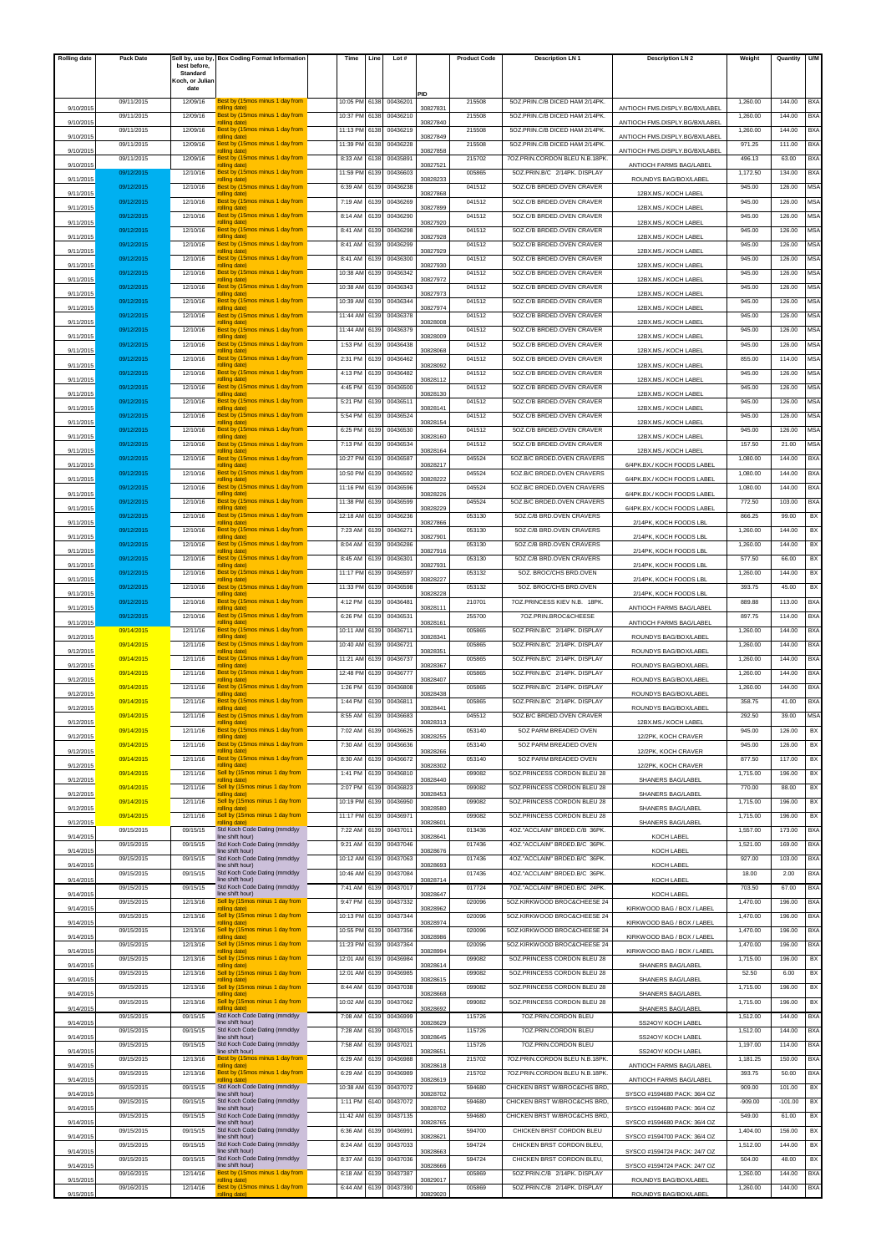| <b>Rolling date</b> | Pack Date  |                          | ell by, use by,  Box Coding Format Information[     | Time     | Line | Lot #    |          | <b>Product Code</b> | <b>Description LN1</b>         | <b>Description LN 2</b>        | Weight    | Quantity  | U/M        |
|---------------------|------------|--------------------------|-----------------------------------------------------|----------|------|----------|----------|---------------------|--------------------------------|--------------------------------|-----------|-----------|------------|
|                     |            | best before.<br>Standard |                                                     |          |      |          |          |                     |                                |                                |           |           |            |
|                     |            | Koch, or Juliar<br>date  |                                                     |          |      |          |          |                     |                                |                                |           |           |            |
|                     | 09/11/2015 | 12/09/16                 | Best by (15mos minus 1 day fron                     | 10:05 PM | 6138 | 0043620  | PID      | 215508              | 5OZ.PRIN.C/B DICED HAM 2/14PK. |                                | 1,260.00  | 144.00    | BX/        |
| 9/10/201            |            | 12/09/16                 | olling date)<br>Best by (15mos minus 1 day from     |          |      |          | 30827831 |                     |                                | ANTIOCH FMS.DISPLY.BG/BX/LABEL |           | 144.00    |            |
| 9/10/2015           | 09/11/2015 |                          | 'olling date)                                       | 10:37 PM | 6138 | 00436210 | 30827840 | 215508              | 5OZ.PRIN.C/B DICED HAM 2/14PK. | ANTIOCH FMS.DISPLY.BG/BX/LABEL | 1,260.00  |           | BXA        |
| 9/10/2015           | 09/11/2015 | 12/09/16                 | Best by (15mos minus 1 day from<br>olling date      | 11:13 PM | 6138 | 00436219 | 30827849 | 215508              | 5OZ.PRIN.C/B DICED HAM 2/14PK. | ANTIOCH FMS.DISPLY.BG/BX/LABEL | 1,260.00  | 144.00    | BXA        |
| 9/10/201            | 09/11/2015 | 12/09/16                 | Best by (15mos minus 1 day from<br>olling date)     | 11:39 PM | 6138 | 00436228 | 30827858 | 215508              | 5OZ.PRIN.C/B DICED HAM 2/14PK. | ANTIOCH FMS.DISPLY.BG/BX/LABEL | 971.25    | 111.00    | BXA        |
| 9/10/2015           | 09/11/2015 | 12/09/16                 | Best by (15mos minus 1 day from<br>rolling date)    | 8:33 AM  | 6138 | 00435891 | 30827521 | 215702              | 7OZ.PRIN.CORDON BLEU N.B.18PK  | ANTIOCH FARMS BAG/LABEL        | 496.13    | 63.00     | BX/        |
| 9/11/2015           | 09/12/2015 | 12/10/16                 | Best by (15mos minus 1 day from<br>olling date)     | 11:59 PM | 6139 | 00436603 | 30828233 | 005865              | 5OZ.PRIN.B/C 2/14PK. DISPLAY   | ROUNDYS BAG/BOX/LABEL          | 1,172.50  | 134.00    | <b>BXA</b> |
| 9/11/2015           | 09/12/2015 | 12/10/16                 | Best by (15mos minus 1 day from<br>'olling date)    | 6:39 AM  | 6139 | 00436238 | 30827868 | 041512              | 5OZ.C/B BRDED.OVEN CRAVER      | 12BX.MS./ KOCH LABEL           | 945.00    | 126.00    | <b>MSA</b> |
|                     | 09/12/2015 | 12/10/16                 | Best by (15mos minus 1 day from                     | 7:19 AM  | 6139 | 00436269 |          | 041512              | 5OZ.C/B BRDED.OVEN CRAVER      |                                | 945.00    | 126.00    | <b>MSA</b> |
| 9/11/2015           | 09/12/2015 | 12/10/16                 | olling date<br>Best by (15mos minus 1 day from      | 8:14 AM  | 6139 | 00436290 | 30827899 | 041512              | 50Z.C/B BRDED.OVEN CRAVER      | 12BX.MS./ KOCH LABEL           | 945.00    | 126.00    | MSA        |
| 9/11/2015           | 09/12/2015 | 12/10/16                 | 'olling date)<br>Best by (15mos minus 1 day from    | 8:41 AM  | 6139 | 00436298 | 30827920 | 041512              | 5OZ.C/B BRDED.OVEN CRAVER      | 12BX.MS./ KOCH LABEL           | 945.00    | 126.00    | MSA        |
| 9/11/2015           | 09/12/2015 | 12/10/16                 | rolling date<br>Best by (15mos minus 1 day from     | 8:41 AM  | 6139 | 00436299 | 30827928 | 041512              | 50Z.C/B BRDED.OVEN CRAVER      | 12BX.MS./ KOCH LABEI           | 945.00    | 126.00    | <b>MSA</b> |
| 9/11/2015           | 09/12/2015 | 12/10/16                 | olling date)<br>Best by (15mos minus 1 day from     | 8:41 AM  | 6139 | 00436300 | 30827929 | 041512              | 507 C/B BRDED OVEN CRAVER      | 12BX.MS./ KOCH LABEI           | 945.00    | 126.00    | <b>MSA</b> |
| 9/11/2015           | 09/12/2015 | 12/10/16                 | 'olling date)<br>Best by (15mos minus 1 day from    | 10:38 AM | 6139 | 00436342 | 30827930 | 041512              | 5OZ.C/B BRDED.OVEN CRAVER      | 12BX.MS./ KOCH LABEL           | 945.00    | 126.00    | <b>MSA</b> |
| 9/11/2015           | 09/12/2015 | 12/10/16                 | olling date<br>Best by (15mos minus 1 day from      | 10:38 AM | 6139 | 00436343 | 30827972 | 041512              | 50Z.C/B BRDED.OVEN CRAVER      | 12BX.MS./ KOCH LABEL           | 945.00    | 126.00    | <b>MSA</b> |
| 9/11/2015           |            |                          | 'olling date)                                       |          |      |          | 30827973 |                     |                                | 12BX.MS./ KOCH LABEL           | 945.00    |           |            |
| 9/11/2015           | 09/12/2015 | 12/10/16                 | Best by (15mos minus 1 day from<br>rolling date)    | 10:39 AM | 6139 | 00436344 | 30827974 | 041512              | 50Z.C/B BRDED.OVEN CRAVER      | 12BX.MS./ KOCH LABEL           |           | 126.00    | MSA        |
| 9/11/2015           | 09/12/2015 | 12/10/16                 | Best by (15mos minus 1 day from<br>olling date)     | 11:44 AN | 6139 | 00436378 | 30828008 | 041512              | 50Z.C/B BRDED.OVEN CRAVER      | 12BX.MS./ KOCH LABEI           | 945.00    | 126.00    | <b>MSA</b> |
| 9/11/2015           | 09/12/2015 | 12/10/16                 | Best by (15mos minus 1 day from<br>'olling date)    | 11:44 AM | 6139 | 00436379 | 30828009 | 041512              | 5OZ.C/B BRDED.OVEN CRAVER      | 12BX.MS./ KOCH LABEL           | 945.00    | 126.00    | <b>MSA</b> |
| 9/11/2015           | 09/12/2015 | 12/10/16                 | Best by (15mos minus 1 day from<br>olling date      | 1:53 PM  | 6139 | 00436438 | 30828068 | 041512              | 50Z.C/B BRDED.OVEN CRAVER      | 12BX.MS./ KOCH LABEL           | 945.00    | 126.00    | <b>MSA</b> |
| 9/11/2015           | 09/12/2015 | 12/10/16                 | Best by (15mos minus 1 day from<br>olling date)     | 2:31 PM  | 6139 | 00436462 | 30828092 | 041512              | 50Z.C/B BRDED.OVEN CRAVER      | 12BX.MS./ KOCH LABEL           | 855.00    | 114.00    | <b>MSA</b> |
| 9/11/2015           | 09/12/2015 | 12/10/16                 | Best by (15mos minus 1 day from<br>rolling date)    | 4:13 PM  | 6139 | 00436482 | 30828112 | 041512              | 507 C/B BRDED OVEN CRAVER      | 12BX.MS./ KOCH LABEI           | 945.00    | 126.00    | MSA        |
|                     | 09/12/2015 | 12/10/16                 | Best by (15mos minus 1 day from<br>olling date)     | 4:45 PM  | 6139 | 00436500 |          | 041512              | 5OZ.C/B BRDED.OVEN CRAVER      |                                | 945.00    | 126.00    | <b>MSA</b> |
| 9/11/2015           | 09/12/2015 | 12/10/16                 | Best by (15mos minus 1 day from                     | 5:21 PM  | 6139 | 0043651  | 30828130 | 041512              | 5OZ.C/B BRDED.OVEN CRAVER      | 12BX.MS./ KOCH LABEL           | 945.00    | 126.00    | <b>MSA</b> |
| 9/11/2015           | 09/12/2015 | 12/10/16                 | 'olling date)<br>Best by (15mos minus 1 day from    | 5:54 PM  | 6139 | 00436524 | 30828141 | 041512              | 5OZ.C/B BRDED.OVEN CRAVER      | 12BX.MS./ KOCH LABEL           | 945.00    | 126.00    | <b>MSA</b> |
| 9/11/2015           | 09/12/2015 | 12/10/16                 | olling date<br>Best by (15mos minus 1 day from      | 6:25 PM  | 6139 | 00436530 | 30828154 | 041512              | 50Z.C/B BRDED.OVEN CRAVER      | 12BX.MS./ KOCH LABEL           | 945.00    | 126.00    | MSA        |
| 9/11/2015           | 09/12/2015 | 12/10/16                 | 'olling date)<br>Best by (15mos minus 1 day from    | 7:13 PM  | 6139 | 00436534 | 30828160 | 041512              | 5OZ.C/B BRDED.OVEN CRAVER      | 12BX.MS./ KOCH LABEL           | 157.50    | 21.00     | MSA        |
| 9/11/2015           | 09/12/2015 | 12/10/16                 | rolling date)<br>Best by (15mos minus 1 day from    | 10:27 PM | 6139 | 00436587 | 30828164 | 045524              | 5OZ.B/C BRDED.OVEN CRAVERS     | 12BX.MS./ KOCH LABEI           | 1,080.00  | 144.00    | <b>BXA</b> |
| 9/11/2015           | 09/12/2015 | 12/10/16                 | olling date)<br>Best by (15mos minus 1 day from     | 10:50 PM | 6139 | 00436592 | 30828217 | 045524              | 5OZ.B/C BRDED.OVEN CRAVERS     | 6/4PK.BX./ KOCH FOODS LABEL    | 1,080.00  | 144.00    | <b>BXA</b> |
| 9/11/2015           |            |                          | 'olling date)                                       |          |      |          | 30828222 |                     |                                | 6/4PK.BX./ KOCH FOODS LABEL    |           |           |            |
| 9/11/2015           | 09/12/2015 | 12/10/16                 | Best by (15mos minus 1 day from<br>olling date      | 11:16 PM | 6139 | 00436596 | 30828226 | 045524              | 5OZ.B/C BRDED.OVEN CRAVERS     | 6/4PK.BX./ KOCH FOODS LABEL    | 1,080.00  | 144.00    | BXA        |
| 9/11/2015           | 09/12/2015 | 12/10/16                 | Best by (15mos minus 1 day from<br>olling date)     | 11:38 PM | 6139 | 00436599 | 30828229 | 045524              | 5OZ.B/C BRDED.OVEN CRAVERS     | 6/4PK.BX./ KOCH FOODS LABEL    | 772.50    | 103.00    | BXA        |
| 9/11/2015           | 09/12/2015 | 12/10/16                 | Best by (15mos minus 1 day from<br>rolling date)    | 12:18 AM | 6139 | 00436236 | 30827866 | 053130              | 5OZ.C/B BRD.OVEN CRAVERS       | 2/14PK, KOCH FOODS LBL         | 866.25    | 99.00     | BX         |
| 9/11/2015           | 09/12/2015 | 12/10/16                 | Best by (15mos minus 1 day from<br>olling date)     | 7:23 AM  | 6139 | 00436271 | 30827901 | 053130              | 5OZ.C/B BRD.OVEN CRAVERS       | 2/14PK, KOCH FOODS LBL         | 1,260.00  | 144.00    | BX         |
| 9/11/2015           | 09/12/2015 | 12/10/16                 | Best by (15mos minus 1 day from<br>'olling date)    | 8:04 AM  | 6139 | 00436286 | 30827916 | 053130              | 5OZ.C/B BRD.OVEN CRAVERS       | 2/14PK, KOCH FOODS LBL         | 1,260.00  | 144.00    | BX         |
| 9/11/2015           | 09/12/2015 | 12/10/16                 | Best by (15mos minus 1 day from<br>olling date      | 8:45 AM  | 6139 | 00436301 | 30827931 | 053130              | 5OZ.C/B BRD.OVEN CRAVERS       | 2/14PK, KOCH FOODS LBL         | 577.50    | 66.00     | BX         |
| 9/11/2015           | 09/12/2015 | 12/10/16                 | Best by (15mos minus 1 day from<br>olling date)     | 11:17 PM | 6139 | 00436597 | 30828227 | 053132              | 5OZ. BROC/CHS BRD.OVEN         | 2/14PK, KOCH FOODS LBL         | 1,260.00  | 144.00    | BX         |
|                     | 09/12/2015 | 12/10/16                 | Best by (15mos minus 1 day from                     | 11:33 PM | 6139 | 00436598 | 30828228 | 053132              | 5OZ. BROC/CHS BRD.OVEN         | 2/14PK, KOCH FOODS LBL         | 393.75    | 45.00     | BX         |
| 9/11/2015           | 09/12/2015 | 12/10/16                 | rolling date)<br>Best by (15mos minus 1 day from    | 4:12 PM  | 6139 | 0043648  |          | 210701              | 7OZ.PRINCESS KIEV N.B. 18PK.   |                                | 889.88    | 113.00    | BX/        |
| 9/11/2015           | 09/12/2015 | 12/10/16                 | olling date)<br>Best by (15mos minus 1 day from     | 6:26 PM  | 6139 | 00436531 | 30828111 | 255700              | 7OZ.PRIN.BROC&CHEESE           | ANTIOCH FARMS BAG/LABEL        | 897.75    | 114.00    | BXA        |
| 9/11/2015           | 09/14/2015 | 12/11/16                 | 'olling date)<br>Best by (15mos minus 1 day from    | 10:11 AM | 6139 | 00436711 | 30828161 | 005865              | 5OZ.PRIN.B/C 2/14PK. DISPLAY   | ANTIOCH FARMS BAG/LABEI        | 1,260.00  | 144.00    | BXA        |
| 9/12/2015           | 09/14/2015 | 12/11/16                 | olling date<br>Best by (15mos minus 1 day from      | 10:40 AM | 6139 | 00436721 | 30828341 | 005865              | 5OZ.PRIN.B/C 2/14PK. DISPLAY   | ROUNDYS BAG/BOX/LABEL          | 1.260.00  | 144.00    | <b>BXA</b> |
| 9/12/2015           | 09/14/2015 | 12/11/16                 | olling date)<br>Best by (15mos minus 1 day from     | 11:21 AM | 6139 | 00436737 | 30828351 | 005865              | 5OZ.PRIN.B/C 2/14PK, DISPLAY   | ROUNDYS BAG/BOX/LABEL          | 1,260.00  | 144.00    | BXA        |
| 9/12/2015           | 09/14/2015 | 12/11/16                 | rolling date)<br>Best by (15mos minus 1 day from    | 12:48 PM | 6139 | 00436777 | 30828367 | 005865              | 5OZ.PRIN.B/C 2/14PK. DISPLAY   | ROUNDYS BAG/BOX/LABEL          | 1,260.00  | 144.00    | BXA        |
| 9/12/2015           | 09/14/2015 | 12/11/16                 | olling date)<br>Best by (15mos minus 1 day from     | 1:26 PM  | 6139 | 00436808 | 30828407 | 005865              | 507 PRIN B/C 2/14PK DISPLAY    | ROUNDYS BAG/BOX/LABEL          | 1,260.00  | 144.00    | <b>BXA</b> |
| 9/12/2015           |            |                          | 'olling date)                                       |          |      |          | 30828438 |                     |                                | ROUNDYS BAG/BOX/LABEL          |           |           |            |
| 9/12/2015           | 09/14/2015 | 12/11/16                 | Best by (15mos minus 1 day from<br>olling date)     | 1:44 PM  | 6139 | 00436811 | 30828441 | 005865              | 5OZ.PRIN.B/C 2/14PK. DISPLAY   | ROUNDYS BAG/BOX/LABEL          | 358.75    | 41.00     | BXA        |
| 9/12/2015           | 09/14/2015 | 12/11/16                 | Best by (15mos minus 1 day from<br>'olling date     | 8:55 AM  | 6139 | 00436683 | 30828313 | 045512              | 50Z.B/C BRDED.OVEN CRAVER      | 12BX.MS./ KOCH LABEL           | 292.50    | 39.00     | <b>MSA</b> |
| 9/12/2015           | 09/14/2015 | 12/11/16                 | Best by (15mos minus 1 day from<br>rolling date)    | 7:02 AM  | 6139 | 00436625 | 30828255 | 053140              | 5OZ PARM BREADED OVEN          | 12/2PK, KOCH CRAVER            | 945.00    | 126.00    | BX         |
| 9/12/2015           | 09/14/2015 | 12/11/16                 | Best by (15mos minus 1 day from<br>olling date)     | 7:30 AM  | 6139 | 00436636 | 30828266 | 053140              | 5OZ PARM BREADED OVEN          | 12/2PK, KOCH CRAVER            | 945.00    | 126.00    | BX         |
| 9/12/2015           | 09/14/2015 | 12/11/16                 | Best by (15mos minus 1 day from<br>rolling date)    | 8:30 AM  | 6139 | 00436672 | 30828302 | 053140              | 5OZ PARM BREADED OVEN          | 12/2PK, KOCH CRAVER            | 877.50    | 117.00    | BX         |
| 9/12/2015           | 09/14/2015 | 12/11/16                 | Sell by (15mos minus 1 day from<br>olling date)     | 1:41 PM  | 6139 | 00436810 | 30828440 | 099082              | 5OZ.PRINCESS CORDON BLEU 28    | SHANERS BAG/LABEL              | 1,715.00  | 196.00    | BX         |
| 9/12/2015           | 09/14/2015 | 12/11/16                 | Sell by (15mos minus 1 day from<br>'olling date)    | 2:07 PM  | 6139 | 00436823 | 30828453 | 099082              | 5OZ.PRINCESS CORDON BLEU 28    | SHANERS BAG/LABEL              | 770.00    | 88.00     | BX         |
| 9/12/2015           | 09/14/2015 | 12/11/16                 | Sell by (15mos minus 1 day from<br>rolling date)    | 10:19 PM | 6139 | 00436950 | 30828580 | 099082              | 5OZ.PRINCESS CORDON BLEU 28    | SHANERS BAG/LABEL              | 1,715.00  | 196.00    | BX         |
|                     | 09/14/2015 | 12/11/16                 | Sell by (15mos minus 1 day from                     | 11:17 PM | 6139 | 00436971 |          | 099082              | 5OZ.PRINCESS CORDON BLEU 28    |                                | 1,715.00  | 196.00    | BX         |
| 9/12/2015           | 09/15/2015 | 09/15/15                 | olling date<br>Std Koch Code Dating (mmddyy         | 7:22 AM  | 6139 | 00437011 | 30828601 | 013436              | 4OZ."ACCLAIM" BRDED.C/B 36PK.  | SHANERS BAG/LABEL              | 1,557.00  | 173.00    | <b>BXA</b> |
| 9/14/2015           | 09/15/2015 | 09/15/15                 | line shift hour)<br>Std Koch Code Dating (mmddyy    | 9:21 AM  | 6139 | 00437046 | 30828641 | 017436              | 4OZ."ACCLAIM" BRDED.B/C 36PK.  | <b>KOCH LABEL</b>              | 1,521.00  | 169.00    | <b>BXA</b> |
| 9/14/2015           | 09/15/2015 | 09/15/15                 | line shift hour)<br>Std Koch Code Dating (mmddyy    | 10:12 AM | 6139 | 00437063 | 30828676 | 017436              | 4OZ."ACCLAIM" BRDED.B/C 36PK.  | KOCH LABEL                     | 927.00    | 103.00    | <b>BXA</b> |
| 9/14/2015           | 09/15/2015 | 09/15/15                 | line shift hour)<br>Std Koch Code Dating (mmddyy    | 10:46 AM | 6139 | 00437084 | 30828693 | 017436              | 4OZ."ACCLAIM" BRDED.B/C 36PK.  | KOCH LABEL                     | 18.00     | 2.00      | BXA        |
| 9/14/2015           | 09/15/2015 | 09/15/15                 | line shift hour)<br>Std Koch Code Dating (mmddyy    | 7:41 AM  | 6139 | 00437017 | 30828714 | 017724              | 7OZ."ACCLAIM" BRDED.B/C 24PK.  | KOCH LABEL                     | 703.50    | 67.00     | <b>BXA</b> |
| 9/14/2015           | 09/15/2015 | 12/13/16                 | line shift hour)<br>Sell by (15mos minus 1 day from | 9:47 PM  | 6139 | 00437332 | 30828647 | 020096              | 5OZ.KIRKWOOD BROC&CHEESE 24    | KOCH LABEL                     | 1,470.00  | 196.00    | <b>BXA</b> |
| 9/14/2015           | 09/15/2015 | 12/13/16                 | rolling date)<br>Sell by (15mos minus 1 day from    | 10:13 PM | 6139 | 00437344 | 30828962 | 020096              | 5OZ.KIRKWOOD BROC&CHEESE 24    | KIRKWOOD BAG / BOX / LABEL     | 1,470.00  | 196.00    | <b>BXA</b> |
| 9/14/2015           | 09/15/2015 | 12/13/16                 | olling date)<br>Sell by (15mos minus 1 day from     | 10:55 PM | 6139 | 00437356 | 30828974 | 020096              | 5OZ.KIRKWOOD BROC&CHEESE 24    | KIRKWOOD BAG / BOX / LABEL     | 1,470.00  | 196.00    | <b>BXA</b> |
| 9/14/2015           |            |                          | 'olling date)<br>Sell by (15mos minus 1 day from    |          |      |          | 30828986 |                     |                                | KIRKWOOD BAG / BOX / LABEL     |           |           |            |
| 9/14/2015           | 09/15/2015 | 12/13/16                 | rolling date)                                       | 11:23 PM | 6139 | 00437364 | 30828994 | 020096              | 5OZ.KIRKWOOD BROC&CHEESE 24    | KIRKWOOD BAG / BOX / LABEL     | 1,470.00  | 196.00    | <b>BXA</b> |
| 9/14/2015           | 09/15/2015 | 12/13/16                 | Sell by (15mos minus 1 day from<br>olling date)     | 12:01 AM | 6139 | 00436984 | 30828614 | 099082              | 5OZ.PRINCESS CORDON BLEU 28    | SHANERS BAG/LABEL              | 1,715.00  | 196.00    | BX         |
| 9/14/2015           | 09/15/2015 | 12/13/16                 | Sell by (15mos minus 1 day from<br>rolling date)    | 12:01 AM | 6139 | 00436985 | 30828615 | 099082              | 5OZ.PRINCESS CORDON BLEU 28    | <b>SHANERS BAG/LABEL</b>       | 52.50     | 6.00      | BX         |
| 9/14/2015           | 09/15/2015 | 12/13/16                 | Sell by (15mos minus 1 day from<br>olling date)     | 8:44 AM  | 6139 | 00437038 | 30828668 | 099082              | 5OZ.PRINCESS CORDON BLEU 28    | SHANERS BAG/LABEL              | 1,715.00  | 196.00    | BX         |
| 9/14/2015           | 09/15/2015 | 12/13/16                 | Sell by (15mos minus 1 day from<br>∖llinα date      | 10:02 AM | 6139 | 00437062 | 30828692 | 099082              | 5OZ.PRINCESS CORDON BLEU 28    | SHANERS BAG/LABEL              | 1,715.00  | 196.00    | BX         |
| 9/14/2015           | 09/15/2015 | 09/15/15                 | Std Koch Code Dating (mmddyy<br>line shift hour)    | 7:08 AM  | 6139 | 00436999 | 30828629 | 115726              | 70Z.PRIN.CORDON BLEU           | SS24OY/KOCH LABEL              | 1,512.00  | 144.00    | <b>BXA</b> |
| 9/14/2015           | 09/15/2015 | 09/15/15                 | Std Koch Code Dating (mmddyy<br>line shift hour)    | 7:28 AM  | 6139 | 00437015 | 30828645 | 115726              | 70Z.PRIN.CORDON BLEU           | SS24OY/ KOCH LABEL             | 1,512.00  | 144.00    | <b>BXA</b> |
|                     | 09/15/2015 | 09/15/15                 | Std Koch Code Dating (mmddyy                        | 7:58 AM  | 6139 | 00437021 |          | 115726              | 70Z.PRIN.CORDON BLEU           |                                | 1,197.00  | 114.00    | <b>BXA</b> |
| 9/14/2015           | 09/15/2015 | 12/13/16                 | line shift hour)<br>Best by (15mos minus 1 day from | 6:29 AM  | 6139 | 00436988 | 30828651 | 215702              | 70Z.PRIN.CORDON BLEU N.B.18PK. | SS24OY/KOCH LABEL              | 1,181.25  | 150.00    | <b>BXA</b> |
| 9/14/2015           | 09/15/2015 | 12/13/16                 | olling date)<br>Best by (15mos minus 1 day from     | 6:29 AM  | 6139 | 00436989 | 30828618 | 215702              | 7OZ.PRIN.CORDON BLEU N.B.18PK  | ANTIOCH FARMS BAG/LABEL        | 393.75    | 50.00     | <b>BXA</b> |
| 9/14/2015           | 09/15/2015 | 09/15/15                 | Std Koch Code Dating (mmddyy                        | 10:38 AM | 6139 | 00437072 | 30828619 | 594680              | CHICKEN BRST W/BROC&CHS BRD    | ANTIOCH FARMS BAG/LABEL        | 909.00    | 101.00    | BX         |
| 9/14/2015           | 09/15/2015 | 09/15/15                 | line shift hour)<br>Std Koch Code Dating (mmddyy    | 1:11 PM  | 6140 | 00437072 | 30828702 | 594680              | CHICKEN BRST W/BROC&CHS BRD    | SYSCO #1594680 PACK: 36/4 OZ   | $-909.00$ | $-101.00$ | BX         |
| 9/14/2015           | 09/15/2015 | 09/15/15                 | line shift hour)<br>Std Koch Code Dating (mmddyy    | 11:42 AM | 6139 | 00437135 | 30828702 | 594680              | CHICKEN BRST W/BROC&CHS BRD,   | SYSCO #1594680 PACK: 36/4 OZ   | 549.00    | 61.00     | BX         |
| 9/14/2015           | 09/15/2015 | 09/15/15                 | line shift hour)<br>Std Koch Code Dating (mmddyy    | 6:36 AM  | 6139 | 00436991 | 30828765 | 594700              | CHICKEN BRST CORDON BLEU       | SYSCO #1594680 PACK: 36/4 OZ   | 1,404.00  | 156.00    | BX         |
| 9/14/2015           | 09/15/2015 | 09/15/15                 | line shift hour)<br>Std Koch Code Dating (mmddyy    | 8:24 AM  | 6139 | 00437033 | 30828621 | 594724              | CHICKEN BRST CORDON BLEU,      | SYSCO #1594700 PACK: 36/4 OZ   | 1,512.00  | 144.00    | BX         |
| 9/14/2015           |            | 09/15/15                 | line shift hour)<br>Std Koch Code Dating (mmddyy    |          |      |          | 30828663 | 594724              |                                | SYSCO #1594724 PACK: 24/7 OZ   |           |           |            |
| 9/14/2015           | 09/15/2015 |                          | line shift hour)                                    | 8:37 AM  | 6139 | 00437036 | 30828666 |                     | CHICKEN BRST CORDON BLEU,      | SYSCO #1594724 PACK: 24/7 OZ   | 504.00    | 48.00     | BX         |
| 9/15/201            | 09/16/2015 | 12/14/16                 | Best by (15mos minus 1 day from<br>olling date)     | 6:18 AM  | 6139 | 00437387 | 30829017 | 005869              | 5OZ.PRIN.C/B 2/14PK. DISPLAY   | ROUNDYS BAG/BOX/LABEL          | 1,260.00  | 144.00    | <b>BXA</b> |
| 9/15/2015           | 09/16/2015 | 12/14/16                 | Best by (15mos minus 1 day from<br>olling date)     | 6:44 AM  | 6139 | 00437390 | 30829020 | 005869              | 5OZ.PRIN.C/B 2/14PK. DISPLAY   | ROUNDYS BAG/BOX/LABEL          | 1,260.00  | 144.00    | <b>BXA</b> |